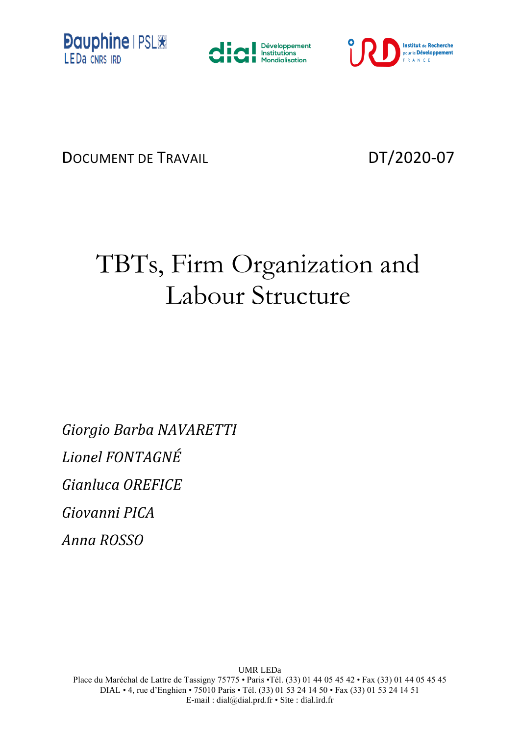





DOCUMENT DE TRAVAIL DT/2020-07

# TBTs, Firm Organization and Labour Structure

*Giorgio Barba NAVARETTI Lionel FONTAGNÉ Gianluca OREFICE Giovanni PICA*  $\mathcal{A}$ *nna ROSSO Anna ROSSO*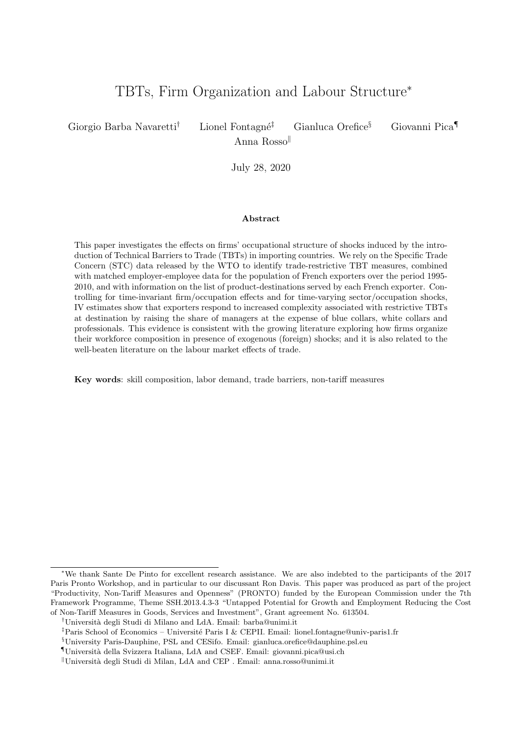## TBTs, Firm Organization and Labour Structure<sup>∗</sup>

Giorgio Barba Navaretti<sup>†</sup> Lionel Fontagné<sup>‡</sup> Gianluca Orefice<sup>§</sup> Giovanni Pica

Anna Rosso

July 28, 2020

#### Abstract

This paper investigates the effects on firms' occupational structure of shocks induced by the introduction of Technical Barriers to Trade (TBTs) in importing countries. We rely on the Specific Trade Concern (STC) data released by the WTO to identify trade-restrictive TBT measures, combined with matched employer-employee data for the population of French exporters over the period 1995- 2010, and with information on the list of product-destinations served by each French exporter. Controlling for time-invariant firm/occupation effects and for time-varying sector/occupation shocks, IV estimates show that exporters respond to increased complexity associated with restrictive TBTs at destination by raising the share of managers at the expense of blue collars, white collars and professionals. This evidence is consistent with the growing literature exploring how firms organize their workforce composition in presence of exogenous (foreign) shocks; and it is also related to the well-beaten literature on the labour market effects of trade.

Key words: skill composition, labor demand, trade barriers, non-tariff measures

<sup>∗</sup>We thank Sante De Pinto for excellent research assistance. We are also indebted to the participants of the 2017 Paris Pronto Workshop, and in particular to our discussant Ron Davis. This paper was produced as part of the project "Productivity, Non-Tariff Measures and Openness" (PRONTO) funded by the European Commission under the 7th Framework Programme, Theme SSH.2013.4.3-3 "Untapped Potential for Growth and Employment Reducing the Cost of Non-Tariff Measures in Goods, Services and Investment", Grant agreement No. 613504.

<sup>†</sup>Universit`a degli Studi di Milano and LdA. Email: barba@unimi.it

<sup>&</sup>lt;sup>‡</sup>Paris School of Economics – Université Paris I & CEPII. Email: lionel.fontagne@univ-paris1.fr

<sup>§</sup>University Paris-Dauphine, PSL and CESifo. Email: gianluca.orefice@dauphine.psl.eu

 $\P$ Università della Svizzera Italiana, LdA and CSEF. Email: giovanni.pica@usi.ch

Università degli Studi di Milan, LdA and CEP . Email: anna.rosso@unimi.it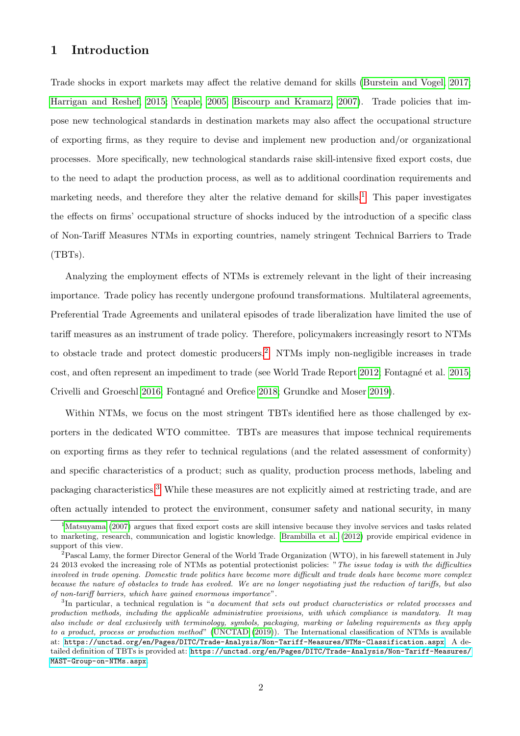## 1 Introduction

Trade shocks in export markets may affect the relative demand for skills [\(Burstein and Vogel, 2017;](#page-27-0) [Harrigan and Reshef, 2015; Yeaple, 2005;](#page-28-0) [Biscourp and Kramarz, 2007\)](#page-27-0). Trade policies that impose new technological standards in destination markets may also affect the occupational structure of exporting firms, as they require to devise and implement new production and/or organizational processes. More specifically, new technological standards raise skill-intensive fixed export costs, due to the need to adapt the production process, as well as to additional coordination requirements and marketing needs, and therefore they alter the relative demand for skills.<sup>1</sup> This paper investigates the effects on firms' occupational structure of shocks induced by the introduction of a specific class of Non-Tariff Measures NTMs in exporting countries, namely stringent Technical Barriers to Trade (TBTs).

Analyzing the employment effects of NTMs is extremely relevant in the light of their increasing importance. Trade policy has recently undergone profound transformations. Multilateral agreements, Preferential Trade Agreements and unilateral episodes of trade liberalization have limited the use of tariff measures as an instrument of trade policy. Therefore, policymakers increasingly resort to NTMs to obstacle trade and protect domestic producers.<sup>2</sup> NTMs imply non-negligible increases in trade cost, and often represent an impediment to trade (see World Trade Report [2012;](#page-28-0) Fontagné et al. [2015;](#page-27-0) Crivelli and Groeschl [2016;](#page-27-0) Fontagn´e and Orefice [2018;](#page-27-0) Grundke and Moser [2019\)](#page-28-0).

Within NTMs, we focus on the most stringent TBTs identified here as those challenged by exporters in the dedicated WTO committee. TBTs are measures that impose technical requirements on exporting firms as they refer to technical regulations (and the related assessment of conformity) and specific characteristics of a product; such as quality, production process methods, labeling and packaging characteristics.<sup>3</sup> While these measures are not explicitly aimed at restricting trade, and are often actually intended to protect the environment, consumer safety and national security, in many

<sup>&</sup>lt;sup>1</sup>[Matsuyama](#page-28-0) [\(2007\)](#page-28-0) argues that fixed export costs are skill intensive because they involve services and tasks related to marketing, research, communication and logistic knowledge. [Brambilla et al.](#page-27-0) [\(2012\)](#page-27-0) provide empirical evidence in support of this view.

 $^{2}$ Pascal Lamy, the former Director General of the World Trade Organization (WTO), in his farewell statement in July 24 2013 evoked the increasing role of NTMs as potential protectionist policies: "The issue today is with the difficulties involved in trade opening. Domestic trade politics have become more difficult and trade deals have become more complex because the nature of obstacles to trade has evolved. We are no longer negotiating just the reduction of tariffs, but also of non-tariff barriers, which have gained enormous importance".

<sup>&</sup>lt;sup>3</sup>In particular, a technical regulation is "a document that sets out product characteristics or related processes and production methods, including the applicable administrative provisions, with which compliance is mandatory. It may also include or deal exclusively with terminology, symbols, packaging, marking or labeling requirements as they apply to a product, process or production method" [\(UNCTAD](#page-28-0) [\(2019\)](#page-28-0)). The International classification of NTMs is available at: <https://unctad.org/en/Pages/DITC/Trade-Analysis/Non-Tariff-Measures/NTMs-Classification.aspx>. A detailed definition of TBTs is provided at: [https://unctad.org/en/Pages/DITC/Trade-Analysis/Non-Tariff-Measures/](https://unctad.org/en/Pages/DITC/Trade-Analysis/Non-Tariff-Measures/MAST-Group-on-NTMs.aspx) [MAST-Group-on-NTMs.aspx](https://unctad.org/en/Pages/DITC/Trade-Analysis/Non-Tariff-Measures/MAST-Group-on-NTMs.aspx).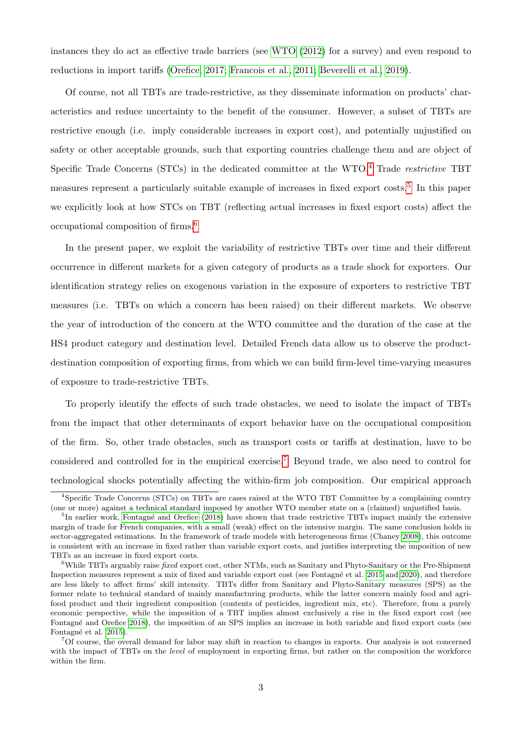instances they do act as effective trade barriers (see [WTO](#page-28-0) [\(2012\)](#page-28-0) for a survey) and even respond to reductions in import tariffs [\(Orefice, 2017;](#page-28-0) [Francois et al., 2011; Beverelli et al., 2019\)](#page-27-0).

Of course, not all TBTs are trade-restrictive, as they disseminate information on products' characteristics and reduce uncertainty to the benefit of the consumer. However, a subset of TBTs are restrictive enough (i.e. imply considerable increases in export cost), and potentially unjustified on safety or other acceptable grounds, such that exporting countries challenge them and are object of Specific Trade Concerns (STCs) in the dedicated committee at the WTO.<sup>4</sup> Trade *restrictive* TBT measures represent a particularly suitable example of increases in fixed export costs.<sup>5</sup> In this paper we explicitly look at how STCs on TBT (reflecting actual increases in fixed export costs) affect the occupational composition of firms.<sup>6</sup>

In the present paper, we exploit the variability of restrictive TBTs over time and their different occurrence in different markets for a given category of products as a trade shock for exporters. Our identification strategy relies on exogenous variation in the exposure of exporters to restrictive TBT measures (i.e. TBTs on which a concern has been raised) on their different markets. We observe the year of introduction of the concern at the WTO committee and the duration of the case at the HS4 product category and destination level. Detailed French data allow us to observe the productdestination composition of exporting firms, from which we can build firm-level time-varying measures of exposure to trade-restrictive TBTs.

To properly identify the effects of such trade obstacles, we need to isolate the impact of TBTs from the impact that other determinants of export behavior have on the occupational composition of the firm. So, other trade obstacles, such as transport costs or tariffs at destination, have to be considered and controlled for in the empirical exercise.<sup>7</sup> Beyond trade, we also need to control for technological shocks potentially affecting the within-firm job composition. Our empirical approach

<sup>4</sup>Specific Trade Concerns (STCs) on TBTs are cases raised at the WTO TBT Committee by a complaining country (one or more) against a technical standard imposed by another WTO member state on a (claimed) unjustified basis.

<sup>&</sup>lt;sup>5</sup>In earlier work, Fontagné and Orefice [\(2018\)](#page-27-0) have shown that trade restrictive TBTs impact mainly the extensive margin of trade for French companies, with a small (weak) effect on the intensive margin. The same conclusion holds in sector-aggregated estimations. In the framework of trade models with heterogeneous firms (Chaney [2008\)](#page-27-0), this outcome is consistent with an increase in fixed rather than variable export costs, and justifies interpreting the imposition of new TBTs as an increase in fixed export costs.

<sup>&</sup>lt;sup>6</sup>While TBTs arguably raise *fixed* export cost, other NTMs, such as Sanitary and Phyto-Sanitary or the Pre-Shipment Inspection measures represent a mix of fixed and variable export cost (see Fontagné et al. [2015](#page-27-0) and [2020\)](#page-27-0), and therefore are less likely to affect firms' skill intensity. TBTs differ from Sanitary and Phyto-Sanitary measures (SPS) as the former relate to technical standard of mainly manufacturing products, while the latter concern mainly food and agrifood product and their ingredient composition (contents of pesticides, ingredient mix, etc). Therefore, from a purely economic perspective, while the imposition of a TBT implies almost exclusively a rise in the fixed export cost (see Fontagné and Orefice [2018\)](#page-27-0), the imposition of an SPS implies an increase in both variable and fixed export costs (see Fontagné et al. [2015\)](#page-27-0).

 $7$ Of course, the overall demand for labor may shift in reaction to changes in exports. Our analysis is not concerned with the impact of TBTs on the *level* of employment in exporting firms, but rather on the composition the workforce within the firm.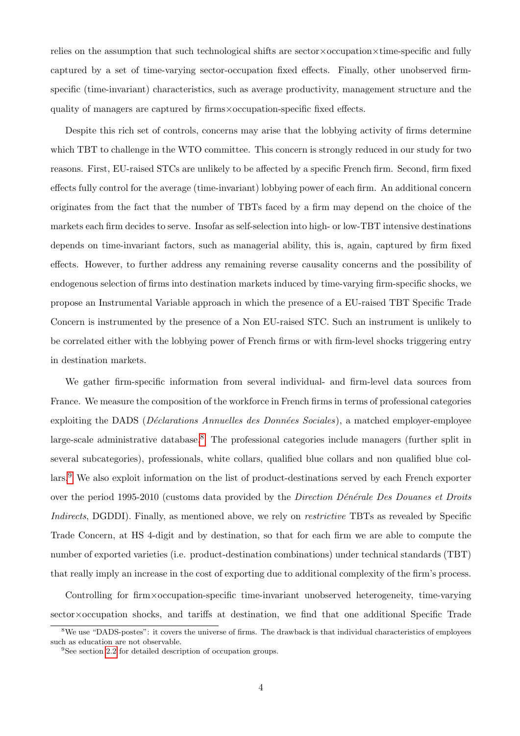relies on the assumption that such technological shifts are sector×occupation×time-specific and fully captured by a set of time-varying sector-occupation fixed effects. Finally, other unobserved firmspecific (time-invariant) characteristics, such as average productivity, management structure and the quality of managers are captured by firms×occupation-specific fixed effects.

Despite this rich set of controls, concerns may arise that the lobbying activity of firms determine which TBT to challenge in the WTO committee. This concern is strongly reduced in our study for two reasons. First, EU-raised STCs are unlikely to be affected by a specific French firm. Second, firm fixed effects fully control for the average (time-invariant) lobbying power of each firm. An additional concern originates from the fact that the number of TBTs faced by a firm may depend on the choice of the markets each firm decides to serve. Insofar as self-selection into high- or low-TBT intensive destinations depends on time-invariant factors, such as managerial ability, this is, again, captured by firm fixed effects. However, to further address any remaining reverse causality concerns and the possibility of endogenous selection of firms into destination markets induced by time-varying firm-specific shocks, we propose an Instrumental Variable approach in which the presence of a EU-raised TBT Specific Trade Concern is instrumented by the presence of a Non EU-raised STC. Such an instrument is unlikely to be correlated either with the lobbying power of French firms or with firm-level shocks triggering entry in destination markets.

We gather firm-specific information from several individual- and firm-level data sources from France. We measure the composition of the workforce in French firms in terms of professional categories exploiting the DADS (*Déclarations Annuelles des Données Sociales*), a matched employer-employee large-scale administrative database.<sup>8</sup> The professional categories include managers (further split in several subcategories), professionals, white collars, qualified blue collars and non qualified blue collars.<sup>9</sup> We also exploit information on the list of product-destinations served by each French exporter over the period 1995-2010 (customs data provided by the *Direction Dénérale Des Douanes et Droits* Indirects, DGDDI). Finally, as mentioned above, we rely on *restrictive* TBTs as revealed by Specific Trade Concern, at HS 4-digit and by destination, so that for each firm we are able to compute the number of exported varieties (i.e. product-destination combinations) under technical standards (TBT) that really imply an increase in the cost of exporting due to additional complexity of the firm's process.

Controlling for firm×occupation-specific time-invariant unobserved heterogeneity, time-varying sector×occupation shocks, and tariffs at destination, we find that one additional Specific Trade

<sup>&</sup>lt;sup>8</sup>We use "DADS-postes": it covers the universe of firms. The drawback is that individual characteristics of employees such as education are not observable.

<sup>&</sup>lt;sup>9</sup>See section [2.2](#page-9-0) for detailed description of occupation groups.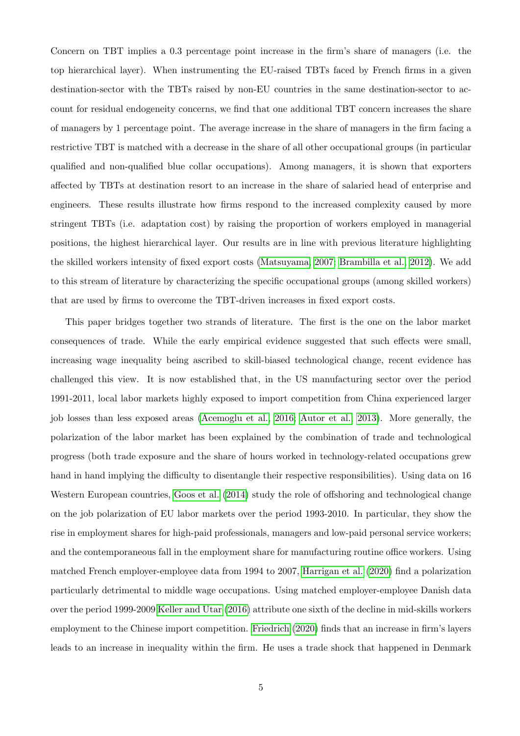Concern on TBT implies a 0.3 percentage point increase in the firm's share of managers (i.e. the top hierarchical layer). When instrumenting the EU-raised TBTs faced by French firms in a given destination-sector with the TBTs raised by non-EU countries in the same destination-sector to account for residual endogeneity concerns, we find that one additional TBT concern increases the share of managers by 1 percentage point. The average increase in the share of managers in the firm facing a restrictive TBT is matched with a decrease in the share of all other occupational groups (in particular qualified and non-qualified blue collar occupations). Among managers, it is shown that exporters affected by TBTs at destination resort to an increase in the share of salaried head of enterprise and engineers. These results illustrate how firms respond to the increased complexity caused by more stringent TBTs (i.e. adaptation cost) by raising the proportion of workers employed in managerial positions, the highest hierarchical layer. Our results are in line with previous literature highlighting the skilled workers intensity of fixed export costs [\(Matsuyama, 2007;](#page-28-0) [Brambilla et al., 2012\)](#page-27-0). We add to this stream of literature by characterizing the specific occupational groups (among skilled workers) that are used by firms to overcome the TBT-driven increases in fixed export costs.

This paper bridges together two strands of literature. The first is the one on the labor market consequences of trade. While the early empirical evidence suggested that such effects were small, increasing wage inequality being ascribed to skill-biased technological change, recent evidence has challenged this view. It is now established that, in the US manufacturing sector over the period 1991-2011, local labor markets highly exposed to import competition from China experienced larger job losses than less exposed areas [\(Acemoglu et al., 2016; Autor et al., 2013\)](#page-27-0). More generally, the polarization of the labor market has been explained by the combination of trade and technological progress (both trade exposure and the share of hours worked in technology-related occupations grew hand in hand implying the difficulty to disentangle their respective responsibilities). Using data on 16 Western European countries, [Goos et al.](#page-28-0) [\(2014\)](#page-28-0) study the role of offshoring and technological change on the job polarization of EU labor markets over the period 1993-2010. In particular, they show the rise in employment shares for high-paid professionals, managers and low-paid personal service workers; and the contemporaneous fall in the employment share for manufacturing routine office workers. Using matched French employer-employee data from 1994 to 2007, [Harrigan et al.](#page-28-0) [\(2020\)](#page-28-0) find a polarization particularly detrimental to middle wage occupations. Using matched employer-employee Danish data over the period 1999-2009 [Keller and Utar](#page-28-0) [\(2016\)](#page-28-0) attribute one sixth of the decline in mid-skills workers employment to the Chinese import competition. [Friedrich](#page-27-0) [\(2020\)](#page-27-0) finds that an increase in firm's layers leads to an increase in inequality within the firm. He uses a trade shock that happened in Denmark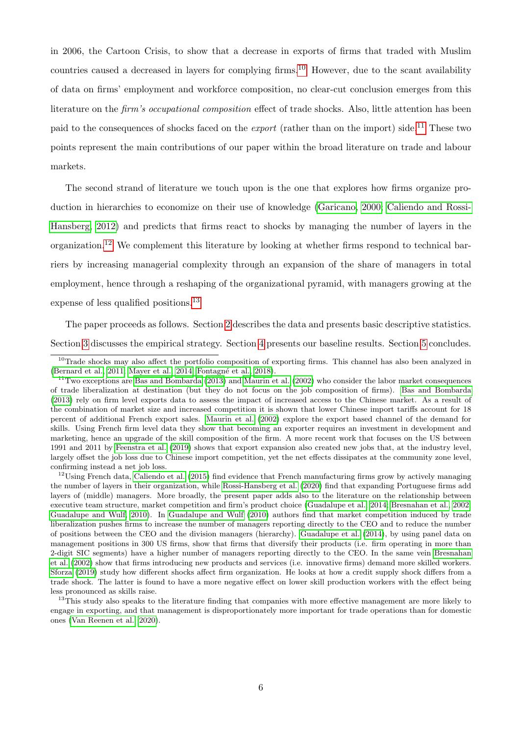in 2006, the Cartoon Crisis, to show that a decrease in exports of firms that traded with Muslim countries caused a decreased in layers for complying firms.<sup>10</sup> However, due to the scant availability of data on firms' employment and workforce composition, no clear-cut conclusion emerges from this literature on the firm's occupational composition effect of trade shocks. Also, little attention has been paid to the consequences of shocks faced on the *export* (rather than on the import) side.<sup>11</sup> These two points represent the main contributions of our paper within the broad literature on trade and labour markets.

The second strand of literature we touch upon is the one that explores how firms organize production in hierarchies to economize on their use of knowledge [\(Garicano, 2000;](#page-28-0) [Caliendo and Rossi-](#page-27-0)[Hansberg, 2012\)](#page-27-0) and predicts that firms react to shocks by managing the number of layers in the organization.<sup>12</sup> We complement this literature by looking at whether firms respond to technical barriers by increasing managerial complexity through an expansion of the share of managers in total employment, hence through a reshaping of the organizational pyramid, with managers growing at the expense of less qualified positions.<sup>13</sup>

The paper proceeds as follows. Section [2](#page-7-0) describes the data and presents basic descriptive statistics. Section [3](#page-14-0) discusses the empirical strategy. Section [4](#page-17-0) presents our baseline results. Section [5](#page-26-0) concludes.

<sup>12</sup>Using French data, [Caliendo et al.](#page-27-0) [\(2015\)](#page-27-0) find evidence that French manufacturing firms grow by actively managing the number of layers in their organization, while [Rossi-Hansberg et al.](#page-28-0) [\(2020\)](#page-28-0) find that expanding Portuguese firms add layers of (middle) managers. More broadly, the present paper adds also to the literature on the relationship between executive team structure, market competition and firm's product choice [\(Guadalupe et al., 2014;](#page-28-0) [Bresnahan et al., 2002;](#page-27-0) [Guadalupe and Wulf, 2010\)](#page-28-0). In [Guadalupe and Wulf](#page-28-0) [\(2010\)](#page-28-0) authors find that market competition induced by trade liberalization pushes firms to increase the number of managers reporting directly to the CEO and to reduce the number of positions between the CEO and the division managers (hierarchy). [Guadalupe et al.](#page-28-0) [\(2014\)](#page-28-0), by using panel data on management positions in 300 US firms, show that firms that diversify their products (i.e. firm operating in more than 2-digit SIC segments) have a higher number of managers reporting directly to the CEO. In the same vein [Bresnahan](#page-27-0) [et al.](#page-27-0) [\(2002\)](#page-27-0) show that firms introducing new products and services (i.e. innovative firms) demand more skilled workers. [Sforza](#page-28-0) [\(2019\)](#page-28-0) study how different shocks affect firm organization. He looks at how a credit supply shock differs from a trade shock. The latter is found to have a more negative effect on lower skill production workers with the effect being less pronounced as skills raise.

<sup>13</sup>This study also speaks to the literature finding that companies with more effective management are more likely to engage in exporting, and that management is disproportionately more important for trade operations than for domestic ones [\(Van Reenen et al., 2020\)](#page-28-0).

<sup>&</sup>lt;sup>10</sup>Trade shocks may also affect the portfolio composition of exporting firms. This channel has also been analyzed in [\(Bernard et al., 2011;](#page-27-0) [Mayer et al., 2014;](#page-28-0) Fontagné et al., 2018).

 $11$ Two exceptions are [Bas and Bombarda](#page-27-0) [\(2013\)](#page-27-0) and [Maurin et al.](#page-28-0) [\(2002\)](#page-28-0) who consider the labor market consequences of trade liberalization at destination (but they do not focus on the job composition of firms). [Bas and Bombarda](#page-27-0) [\(2013\)](#page-27-0) rely on firm level exports data to assess the impact of increased access to the Chinese market. As a result of the combination of market size and increased competition it is shown that lower Chinese import tariffs account for 18 percent of additional French export sales. [Maurin et al.](#page-28-0) [\(2002\)](#page-28-0) explore the export based channel of the demand for skills. Using French firm level data they show that becoming an exporter requires an investment in development and marketing, hence an upgrade of the skill composition of the firm. A more recent work that focuses on the US between 1991 and 2011 by [Feenstra et al.](#page-27-0) [\(2019\)](#page-27-0) shows that export expansion also created new jobs that, at the industry level, largely offset the job loss due to Chinese import competition, yet the net effects dissipates at the community zone level, confirming instead a net job loss.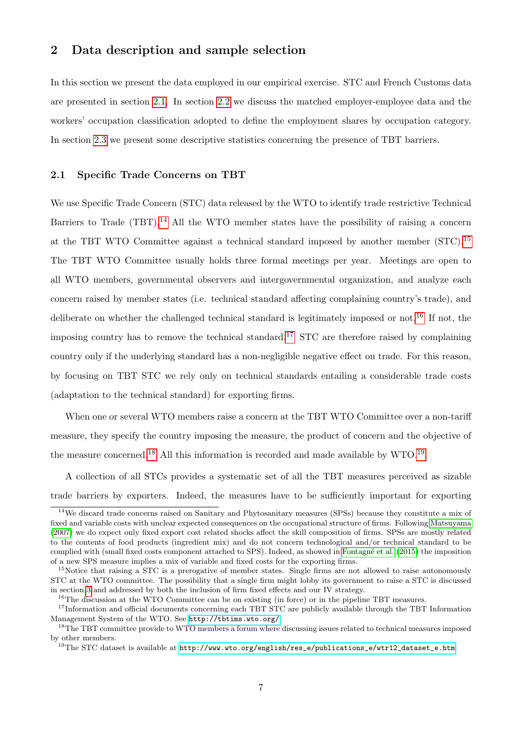## <span id="page-7-0"></span>2 Data description and sample selection

In this section we present the data employed in our empirical exercise. STC and French Customs data are presented in section 2.1. In section [2.2](#page-9-0) we discuss the matched employer-employee data and the workers' occupation classification adopted to define the employment shares by occupation category. In section [2.3](#page-10-0) we present some descriptive statistics concerning the presence of TBT barriers.

#### 2.1 Specific Trade Concerns on TBT

We use Specific Trade Concern (STC) data released by the WTO to identify trade restrictive Technical Barriers to Trade  $(TBT)$ .<sup>14</sup> All the WTO member states have the possibility of raising a concern at the TBT WTO Committee against a technical standard imposed by another member (STC).<sup>15</sup> The TBT WTO Committee usually holds three formal meetings per year. Meetings are open to all WTO members, governmental observers and intergovernmental organization, and analyze each concern raised by member states (i.e. technical standard affecting complaining country's trade), and deliberate on whether the challenged technical standard is legitimately imposed or not.<sup>16</sup> If not, the imposing country has to remove the technical standard.<sup>17</sup> STC are therefore raised by complaining country only if the underlying standard has a non-negligible negative effect on trade. For this reason, by focusing on TBT STC we rely only on technical standards entailing a considerable trade costs (adaptation to the technical standard) for exporting firms.

When one or several WTO members raise a concern at the TBT WTO Committee over a non-tariff measure, they specify the country imposing the measure, the product of concern and the objective of the measure concerned.<sup>18</sup> All this information is recorded and made available by  $WTO.$ <sup>19</sup>

A collection of all STCs provides a systematic set of all the TBT measures perceived as sizable trade barriers by exporters. Indeed, the measures have to be sufficiently important for exporting

<sup>14</sup>We discard trade concerns raised on Sanitary and Phytosanitary measures (SPSs) because they constitute a mix of fixed and variable costs with unclear expected consequences on the occupational structure of firms. Following [Matsuyama](#page-28-0) [\(2007\)](#page-28-0) we do expect only fixed export cost related shocks affect the skill composition of firms. SPSs are mostly related to the contents of food products (ingredient mix) and do not concern technological and/or technical standard to be complied with (small fixed costs component attached to SPS). Indeed, as showed in Fontagné et al. [\(2015\)](#page-27-0) the imposition of a new SPS measure implies a mix of variable and fixed costs for the exporting firms.

<sup>&</sup>lt;sup>15</sup>Notice that raising a STC is a prerogative of member states. Single firms are not allowed to raise autonomously STC at the WTO committee. The possibility that a single firm might lobby its government to raise a STC is discussed in section [3](#page-14-0) and addressed by both the inclusion of firm fixed effects and our IV strategy.

<sup>&</sup>lt;sup>16</sup>The discussion at the WTO Committee can be on existing (in force) or in the pipeline TBT measures.

<sup>&</sup>lt;sup>17</sup>Information and official documents concerning each TBT STC are publicly available through the TBT Information Management System of the WTO. See <http://tbtims.wto.org/>

<sup>&</sup>lt;sup>18</sup>The TBT committee provide to WTO members a forum where discussing issues related to technical measures imposed by other members.

<sup>&</sup>lt;sup>19</sup>The STC dataset is available at  $http://www.wto.org/english,res_e/publications_e/wtr12_dataset_e.htm$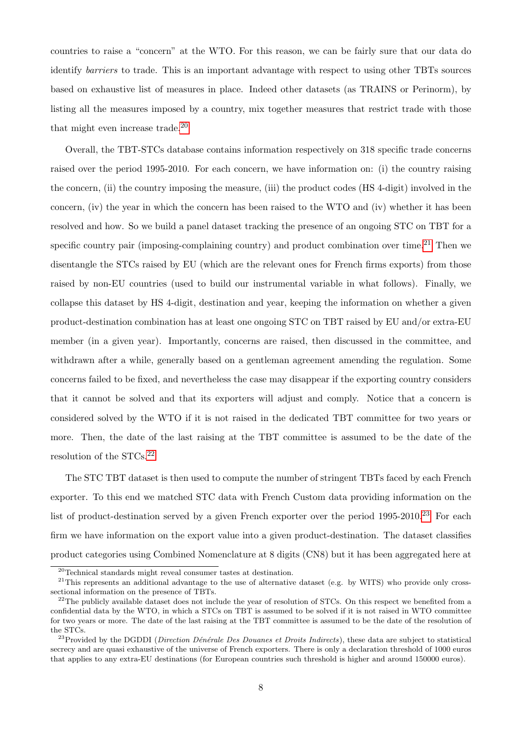countries to raise a "concern" at the WTO. For this reason, we can be fairly sure that our data do identify barriers to trade. This is an important advantage with respect to using other TBTs sources based on exhaustive list of measures in place. Indeed other datasets (as TRAINS or Perinorm), by listing all the measures imposed by a country, mix together measures that restrict trade with those that might even increase trade. $^{20}$ 

Overall, the TBT-STCs database contains information respectively on 318 specific trade concerns raised over the period 1995-2010. For each concern, we have information on: (i) the country raising the concern, (ii) the country imposing the measure, (iii) the product codes (HS 4-digit) involved in the concern, (iv) the year in which the concern has been raised to the WTO and (iv) whether it has been resolved and how. So we build a panel dataset tracking the presence of an ongoing STC on TBT for a specific country pair (imposing-complaining country) and product combination over time.<sup>21</sup> Then we disentangle the STCs raised by EU (which are the relevant ones for French firms exports) from those raised by non-EU countries (used to build our instrumental variable in what follows). Finally, we collapse this dataset by HS 4-digit, destination and year, keeping the information on whether a given product-destination combination has at least one ongoing STC on TBT raised by EU and/or extra-EU member (in a given year). Importantly, concerns are raised, then discussed in the committee, and withdrawn after a while, generally based on a gentleman agreement amending the regulation. Some concerns failed to be fixed, and nevertheless the case may disappear if the exporting country considers that it cannot be solved and that its exporters will adjust and comply. Notice that a concern is considered solved by the WTO if it is not raised in the dedicated TBT committee for two years or more. Then, the date of the last raising at the TBT committee is assumed to be the date of the resolution of the  $STCs$ <sup>22</sup>

The STC TBT dataset is then used to compute the number of stringent TBTs faced by each French exporter. To this end we matched STC data with French Custom data providing information on the list of product-destination served by a given French exporter over the period  $1995-2010^{23}$  For each firm we have information on the export value into a given product-destination. The dataset classifies product categories using Combined Nomenclature at 8 digits (CN8) but it has been aggregated here at

<sup>20</sup>Technical standards might reveal consumer tastes at destination.

 $21$ This represents an additional advantage to the use of alternative dataset (e.g. by WITS) who provide only crosssectional information on the presence of TBTs.

 $^{22}$ The publicly available dataset does not include the year of resolution of STCs. On this respect we benefited from a confidential data by the WTO, in which a STCs on TBT is assumed to be solved if it is not raised in WTO committee for two years or more. The date of the last raising at the TBT committee is assumed to be the date of the resolution of the STCs.

<sup>&</sup>lt;sup>23</sup>Provided by the DGDDI (*Direction Dénérale Des Douanes et Droits Indirects*), these data are subject to statistical secrecy and are quasi exhaustive of the universe of French exporters. There is only a declaration threshold of 1000 euros that applies to any extra-EU destinations (for European countries such threshold is higher and around 150000 euros).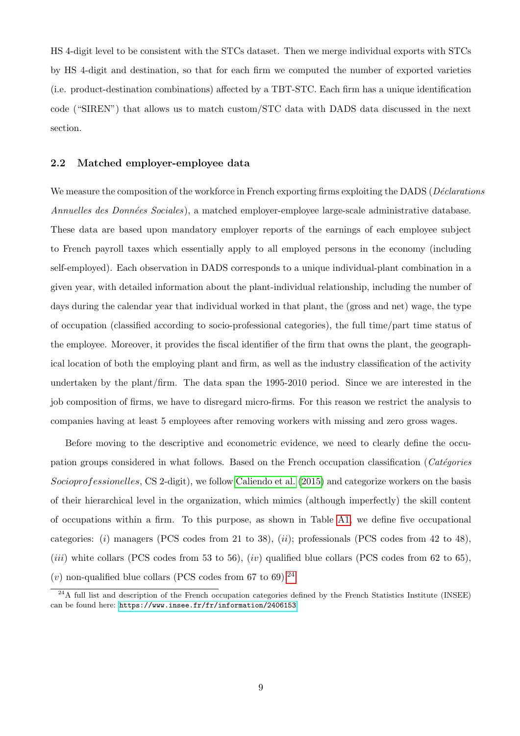<span id="page-9-0"></span>HS 4-digit level to be consistent with the STCs dataset. Then we merge individual exports with STCs by HS 4-digit and destination, so that for each firm we computed the number of exported varieties (i.e. product-destination combinations) affected by a TBT-STC. Each firm has a unique identification code ("SIREN") that allows us to match custom/STC data with DADS data discussed in the next section.

#### 2.2 Matched employer-employee data

We measure the composition of the workforce in French exporting firms exploiting the DADS (*Déclarations* Annuelles des Données Sociales), a matched employer-employee large-scale administrative database. These data are based upon mandatory employer reports of the earnings of each employee subject to French payroll taxes which essentially apply to all employed persons in the economy (including self-employed). Each observation in DADS corresponds to a unique individual-plant combination in a given year, with detailed information about the plant-individual relationship, including the number of days during the calendar year that individual worked in that plant, the (gross and net) wage, the type of occupation (classified according to socio-professional categories), the full time/part time status of the employee. Moreover, it provides the fiscal identifier of the firm that owns the plant, the geographical location of both the employing plant and firm, as well as the industry classification of the activity undertaken by the plant/firm. The data span the 1995-2010 period. Since we are interested in the job composition of firms, we have to disregard micro-firms. For this reason we restrict the analysis to companies having at least 5 employees after removing workers with missing and zero gross wages.

Before moving to the descriptive and econometric evidence, we need to clearly define the occupation groups considered in what follows. Based on the French occupation classification (Catégories Socioprofessionelles, CS 2-digit), we follow [Caliendo et al.](#page-27-0) [\(2015\)](#page-27-0) and categorize workers on the basis of their hierarchical level in the organization, which mimics (although imperfectly) the skill content of occupations within a firm. To this purpose, as shown in Table [A1,](#page-29-0) we define five occupational categories: (i) managers (PCS codes from 21 to 38), (ii); professionals (PCS codes from 42 to 48), (*iii*) white collars (PCS codes from 53 to 56), (*iv*) qualified blue collars (PCS codes from 62 to 65), (v) non-qualified blue collars (PCS codes from 67 to 69).<sup>24</sup>

 $^{24}$ A full list and description of the French occupation categories defined by the French Statistics Institute (INSEE) can be found here: <https://www.insee.fr/fr/information/2406153>.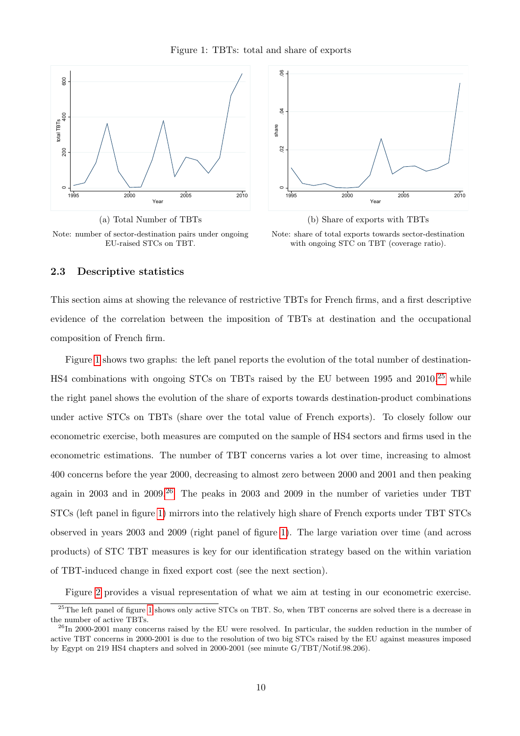

<span id="page-10-0"></span>





(b) Share of exports with TBTs Note: share of total exports towards sector-destination with ongoing STC on TBT (coverage ratio).

#### 2.3 Descriptive statistics

This section aims at showing the relevance of restrictive TBTs for French firms, and a first descriptive evidence of the correlation between the imposition of TBTs at destination and the occupational composition of French firm.

Figure 1 shows two graphs: the left panel reports the evolution of the total number of destination-HS4 combinations with ongoing STCs on TBTs raised by the EU between 1995 and  $2010$ ,  $25$  while the right panel shows the evolution of the share of exports towards destination-product combinations under active STCs on TBTs (share over the total value of French exports). To closely follow our econometric exercise, both measures are computed on the sample of HS4 sectors and firms used in the econometric estimations. The number of TBT concerns varies a lot over time, increasing to almost 400 concerns before the year 2000, decreasing to almost zero between 2000 and 2001 and then peaking again in 2003 and in 2009.<sup>26</sup> The peaks in 2003 and 2009 in the number of varieties under TBT STCs (left panel in figure 1) mirrors into the relatively high share of French exports under TBT STCs observed in years 2003 and 2009 (right panel of figure 1). The large variation over time (and across products) of STC TBT measures is key for our identification strategy based on the within variation of TBT-induced change in fixed export cost (see the next section).

Figure [2](#page-11-0) provides a visual representation of what we aim at testing in our econometric exercise.

<sup>&</sup>lt;sup>25</sup>The left panel of figure 1 shows only active STCs on TBT. So, when TBT concerns are solved there is a decrease in the number of active TBTs.

 $^{26}$ In 2000-2001 many concerns raised by the EU were resolved. In particular, the sudden reduction in the number of active TBT concerns in 2000-2001 is due to the resolution of two big STCs raised by the EU against measures imposed by Egypt on 219 HS4 chapters and solved in 2000-2001 (see minute G/TBT/Notif.98.206).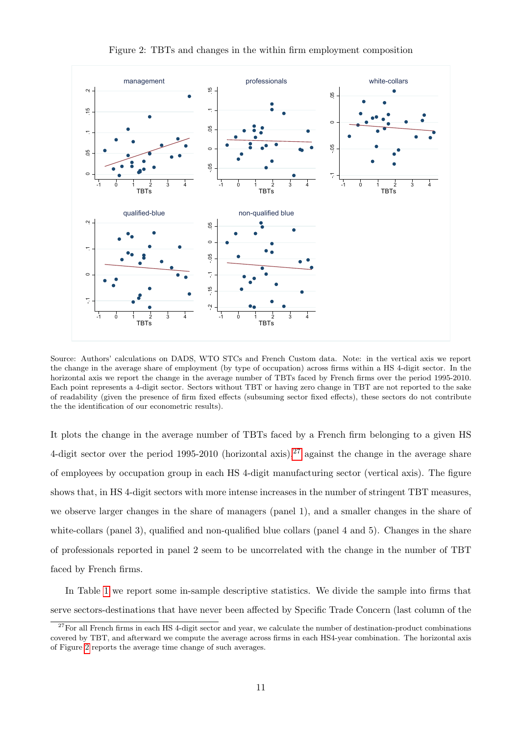<span id="page-11-0"></span>

Figure 2: TBTs and changes in the within firm employment composition

Source: Authors' calculations on DADS, WTO STCs and French Custom data. Note: in the vertical axis we report the change in the average share of employment (by type of occupation) across firms within a HS 4-digit sector. In the horizontal axis we report the change in the average number of TBTs faced by French firms over the period 1995-2010. Each point represents a 4-digit sector. Sectors without TBT or having zero change in TBT are not reported to the sake of readability (given the presence of firm fixed effects (subsuming sector fixed effects), these sectors do not contribute the the identification of our econometric results).

It plots the change in the average number of TBTs faced by a French firm belonging to a given HS 4-digit sector over the period 1995-2010 (horizontal axis),  $27$  against the change in the average share of employees by occupation group in each HS 4-digit manufacturing sector (vertical axis). The figure shows that, in HS 4-digit sectors with more intense increases in the number of stringent TBT measures, we observe larger changes in the share of managers (panel 1), and a smaller changes in the share of white-collars (panel 3), qualified and non-qualified blue collars (panel 4 and 5). Changes in the share of professionals reported in panel 2 seem to be uncorrelated with the change in the number of TBT faced by French firms.

In Table [1](#page-13-0) we report some in-sample descriptive statistics. We divide the sample into firms that serve sectors-destinations that have never been affected by Specific Trade Concern (last column of the

 $^{27}$ For all French firms in each HS 4-digit sector and year, we calculate the number of destination-product combinations covered by TBT, and afterward we compute the average across firms in each HS4-year combination. The horizontal axis of Figure 2 reports the average time change of such averages.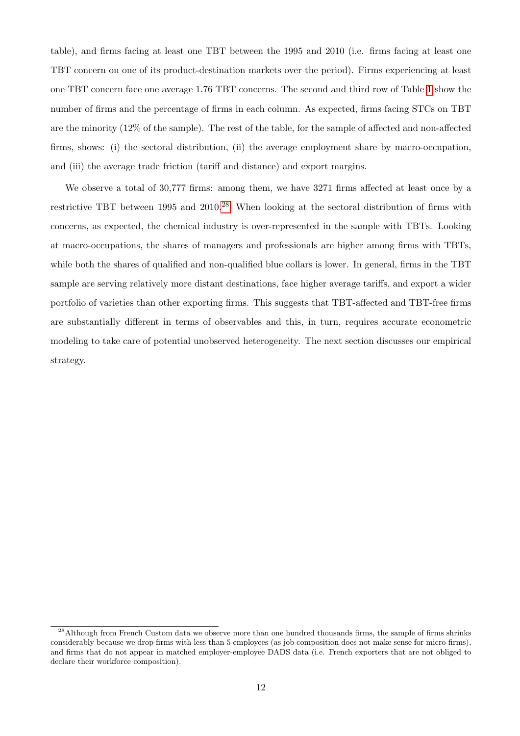table), and firms facing at least one TBT between the 1995 and 2010 (i.e. firms facing at least one TBT concern on one of its product-destination markets over the period). Firms experiencing at least one TBT concern face one average 1.76 TBT concerns. The second and third row of Table [1](#page-13-0) show the number of firms and the percentage of firms in each column. As expected, firms facing STCs on TBT are the minority (12% of the sample). The rest of the table, for the sample of affected and non-affected firms, shows: (i) the sectoral distribution, (ii) the average employment share by macro-occupation, and (iii) the average trade friction (tariff and distance) and export margins.

We observe a total of 30,777 firms: among them, we have 3271 firms affected at least once by a restrictive TBT between 1995 and 2010.<sup>28</sup> When looking at the sectoral distribution of firms with concerns, as expected, the chemical industry is over-represented in the sample with TBTs. Looking at macro-occupations, the shares of managers and professionals are higher among firms with TBTs, while both the shares of qualified and non-qualified blue collars is lower. In general, firms in the TBT sample are serving relatively more distant destinations, face higher average tariffs, and export a wider portfolio of varieties than other exporting firms. This suggests that TBT-affected and TBT-free firms are substantially different in terms of observables and this, in turn, requires accurate econometric modeling to take care of potential unobserved heterogeneity. The next section discusses our empirical strategy.

<sup>&</sup>lt;sup>28</sup>Although from French Custom data we observe more than one hundred thousands firms, the sample of firms shrinks considerably because we drop firms with less than 5 employees (as job composition does not make sense for micro-firms), and firms that do not appear in matched employer-employee DADS data (i.e. French exporters that are not obliged to declare their workforce composition).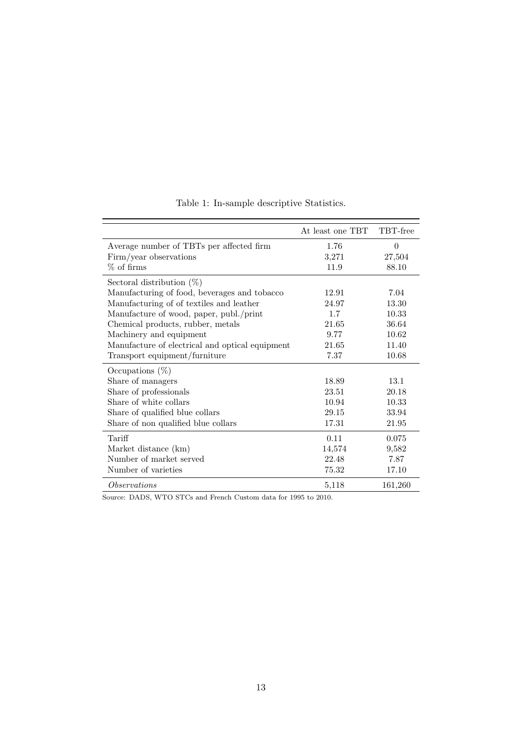<span id="page-13-0"></span>

|                                                 | At least one TBT | TBT-free |
|-------------------------------------------------|------------------|----------|
| Average number of TBTs per affected firm        | 1.76             | $\Omega$ |
| Firm/year observations                          | 3,271            | 27,504   |
| $%$ of firms                                    | 11.9             | 88.10    |
| Sectoral distribution $(\%)$                    |                  |          |
| Manufacturing of food, beverages and tobacco    | 12.91            | 7.04     |
| Manufacturing of of textiles and leather        | 24.97            | 13.30    |
| Manufacture of wood, paper, publ./print         | 1.7              | 10.33    |
| Chemical products, rubber, metals               | 21.65            | 36.64    |
| Machinery and equipment                         | 9.77             | 10.62    |
| Manufacture of electrical and optical equipment | 21.65            | 11.40    |
| Transport equipment/furniture                   | 7.37             | 10.68    |
| Occupations $(\%)$                              |                  |          |
| Share of managers                               | 18.89            | 13.1     |
| Share of professionals                          | 23.51            | 20.18    |
| Share of white collars                          | 10.94            | 10.33    |
| Share of qualified blue collars                 | 29.15            | 33.94    |
| Share of non qualified blue collars             | 17.31            | 21.95    |
| Tariff                                          | 0.11             | 0.075    |
| Market distance (km)                            | 14,574           | 9,582    |
| Number of market served                         | 22.48            | 7.87     |
| Number of varieties                             | 75.32            | 17.10    |
| <i>Observations</i>                             | 5,118            | 161,260  |

## Table 1: In-sample descriptive Statistics.

Source: DADS, WTO STCs and French Custom data for 1995 to 2010.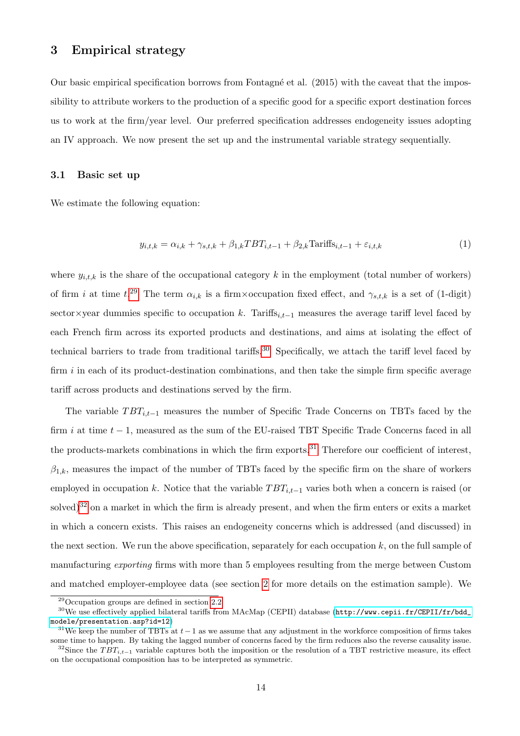### <span id="page-14-0"></span>3 Empirical strategy

Our basic empirical specification borrows from Fontagné et al. (2015) with the caveat that the impossibility to attribute workers to the production of a specific good for a specific export destination forces us to work at the firm/year level. Our preferred specification addresses endogeneity issues adopting an IV approach. We now present the set up and the instrumental variable strategy sequentially.

#### 3.1 Basic set up

We estimate the following equation:

$$
y_{i,t,k} = \alpha_{i,k} + \gamma_{s,t,k} + \beta_{1,k} T B T_{i,t-1} + \beta_{2,k} \text{Tariffs}_{i,t-1} + \varepsilon_{i,t,k}
$$
\n
$$
\tag{1}
$$

where  $y_{i,t,k}$  is the share of the occupational category k in the employment (total number of workers) of firm i at time  $t^{29}$ . The term  $\alpha_{i,k}$  is a firm×occupation fixed effect, and  $\gamma_{s,t,k}$  is a set of (1-digit) sector×year dummies specific to occupation k. Tariffs<sub>i,t−1</sub> measures the average tariff level faced by each French firm across its exported products and destinations, and aims at isolating the effect of technical barriers to trade from traditional tariffs.<sup>30</sup> Specifically, we attach the tariff level faced by firm  $i$  in each of its product-destination combinations, and then take the simple firm specific average tariff across products and destinations served by the firm.

The variable  $TBT_{i,t-1}$  measures the number of Specific Trade Concerns on TBTs faced by the firm i at time  $t - 1$ , measured as the sum of the EU-raised TBT Specific Trade Concerns faced in all the products-markets combinations in which the firm exports.<sup>31</sup> Therefore our coefficient of interest,  $\beta_{1,k}$ , measures the impact of the number of TBTs faced by the specific firm on the share of workers employed in occupation k. Notice that the variable  $TBT_{i,t-1}$  varies both when a concern is raised (or solved) $32$  on a market in which the firm is already present, and when the firm enters or exits a market in which a concern exists. This raises an endogeneity concerns which is addressed (and discussed) in the next section. We run the above specification, separately for each occupation  $k$ , on the full sample of manufacturing exporting firms with more than 5 employees resulting from the merge between Custom and matched employer-employee data (see section [2](#page-7-0) for more details on the estimation sample). We

<sup>29</sup>Occupation groups are defined in section [2.2.](#page-9-0)

<sup>30</sup>We use effectively applied bilateral tariffs from MAcMap (CEPII) database ([http://www.cepii.fr/CEPII/fr/bdd\\_](http://www.cepii.fr/CEPII/fr/bdd_modele/presentation.asp?id=12) [modele/presentation.asp?id=12](http://www.cepii.fr/CEPII/fr/bdd_modele/presentation.asp?id=12))

<sup>&</sup>lt;sup>31</sup>We keep the number of TBTs at  $t-1$  as we assume that any adjustment in the workforce composition of firms takes some time to happen. By taking the lagged number of concerns faced by the firm reduces also the reverse causality issue.

<sup>&</sup>lt;sup>32</sup>Since the TBT<sub>i,t−1</sub> variable captures both the imposition or the resolution of a TBT restrictive measure, its effect on the occupational composition has to be interpreted as symmetric.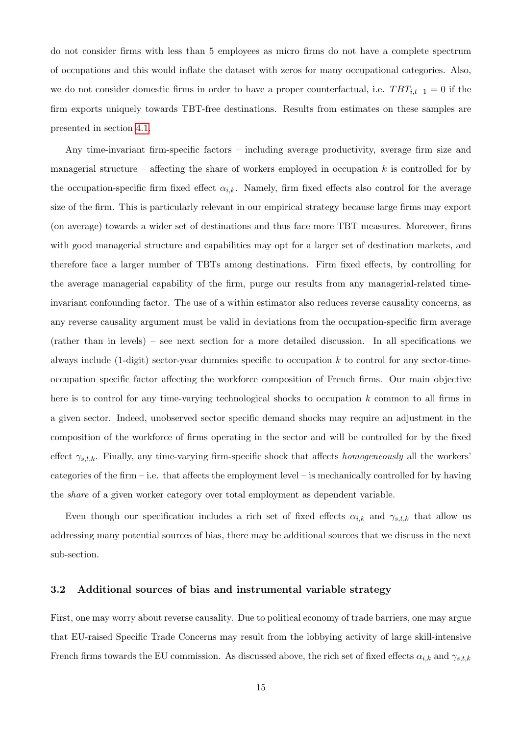do not consider firms with less than 5 employees as micro firms do not have a complete spectrum of occupations and this would inflate the dataset with zeros for many occupational categories. Also, we do not consider domestic firms in order to have a proper counterfactual, i.e.  $TBT_{i,t-1} = 0$  if the firm exports uniquely towards TBT-free destinations. Results from estimates on these samples are presented in section [4.1.](#page-17-0)

Any time-invariant firm-specific factors – including average productivity, average firm size and managerial structure – affecting the share of workers employed in occupation  $k$  is controlled for by the occupation-specific firm fixed effect  $\alpha_{i,k}$ . Namely, firm fixed effects also control for the average size of the firm. This is particularly relevant in our empirical strategy because large firms may export (on average) towards a wider set of destinations and thus face more TBT measures. Moreover, firms with good managerial structure and capabilities may opt for a larger set of destination markets, and therefore face a larger number of TBTs among destinations. Firm fixed effects, by controlling for the average managerial capability of the firm, purge our results from any managerial-related timeinvariant confounding factor. The use of a within estimator also reduces reverse causality concerns, as any reverse causality argument must be valid in deviations from the occupation-specific firm average (rather than in levels) – see next section for a more detailed discussion. In all specifications we always include  $(1\t{-}digit)$  sector-year dummies specific to occupation k to control for any sector-timeoccupation specific factor affecting the workforce composition of French firms. Our main objective here is to control for any time-varying technological shocks to occupation  $k$  common to all firms in a given sector. Indeed, unobserved sector specific demand shocks may require an adjustment in the composition of the workforce of firms operating in the sector and will be controlled for by the fixed effect  $\gamma_{s,t,k}$ . Finally, any time-varying firm-specific shock that affects homogeneously all the workers' categories of the firm – i.e. that affects the employment level – is mechanically controlled for by having the share of a given worker category over total employment as dependent variable.

Even though our specification includes a rich set of fixed effects  $\alpha_{i,k}$  and  $\gamma_{s,t,k}$  that allow us addressing many potential sources of bias, there may be additional sources that we discuss in the next sub-section.

#### 3.2 Additional sources of bias and instrumental variable strategy

First, one may worry about reverse causality. Due to political economy of trade barriers, one may argue that EU-raised Specific Trade Concerns may result from the lobbying activity of large skill-intensive French firms towards the EU commission. As discussed above, the rich set of fixed effects  $\alpha_{i,k}$  and  $\gamma_{s,t,k}$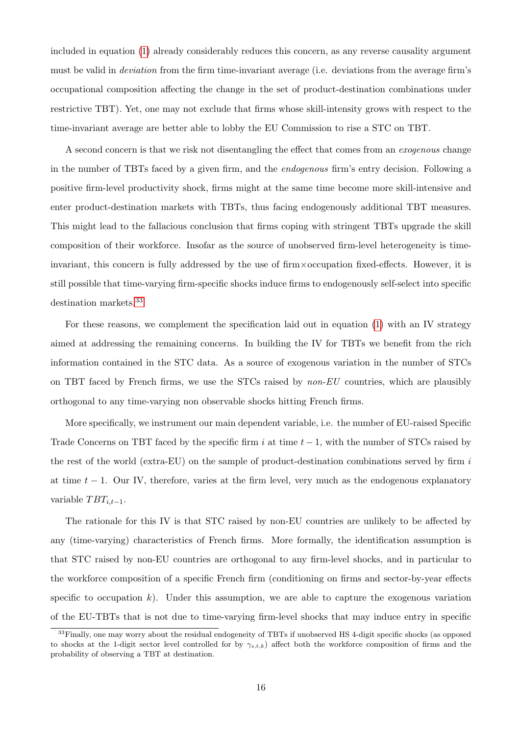included in equation [\(1\)](#page-14-0) already considerably reduces this concern, as any reverse causality argument must be valid in deviation from the firm time-invariant average (i.e. deviations from the average firm's occupational composition affecting the change in the set of product-destination combinations under restrictive TBT). Yet, one may not exclude that firms whose skill-intensity grows with respect to the time-invariant average are better able to lobby the EU Commission to rise a STC on TBT.

A second concern is that we risk not disentangling the effect that comes from an *exogenous* change in the number of TBTs faced by a given firm, and the endogenous firm's entry decision. Following a positive firm-level productivity shock, firms might at the same time become more skill-intensive and enter product-destination markets with TBTs, thus facing endogenously additional TBT measures. This might lead to the fallacious conclusion that firms coping with stringent TBTs upgrade the skill composition of their workforce. Insofar as the source of unobserved firm-level heterogeneity is timeinvariant, this concern is fully addressed by the use of firm×occupation fixed-effects. However, it is still possible that time-varying firm-specific shocks induce firms to endogenously self-select into specific destination markets.<sup>33</sup>

For these reasons, we complement the specification laid out in equation [\(1\)](#page-14-0) with an IV strategy aimed at addressing the remaining concerns. In building the IV for TBTs we benefit from the rich information contained in the STC data. As a source of exogenous variation in the number of STCs on TBT faced by French firms, we use the STCs raised by non-EU countries, which are plausibly orthogonal to any time-varying non observable shocks hitting French firms.

More specifically, we instrument our main dependent variable, i.e. the number of EU-raised Specific Trade Concerns on TBT faced by the specific firm i at time  $t - 1$ , with the number of STCs raised by the rest of the world (extra-EU) on the sample of product-destination combinations served by firm  $i$ at time  $t - 1$ . Our IV, therefore, varies at the firm level, very much as the endogenous explanatory variable  $TBT_{i,t-1}$ .

The rationale for this IV is that STC raised by non-EU countries are unlikely to be affected by any (time-varying) characteristics of French firms. More formally, the identification assumption is that STC raised by non-EU countries are orthogonal to any firm-level shocks, and in particular to the workforce composition of a specific French firm (conditioning on firms and sector-by-year effects specific to occupation k). Under this assumption, we are able to capture the exogenous variation of the EU-TBTs that is not due to time-varying firm-level shocks that may induce entry in specific

<sup>&</sup>lt;sup>33</sup>Finally, one may worry about the residual endogeneity of TBTs if unobserved HS 4-digit specific shocks (as opposed to shocks at the 1-digit sector level controlled for by  $\gamma_{s,t,k}$ ) affect both the workforce composition of firms and the probability of observing a TBT at destination.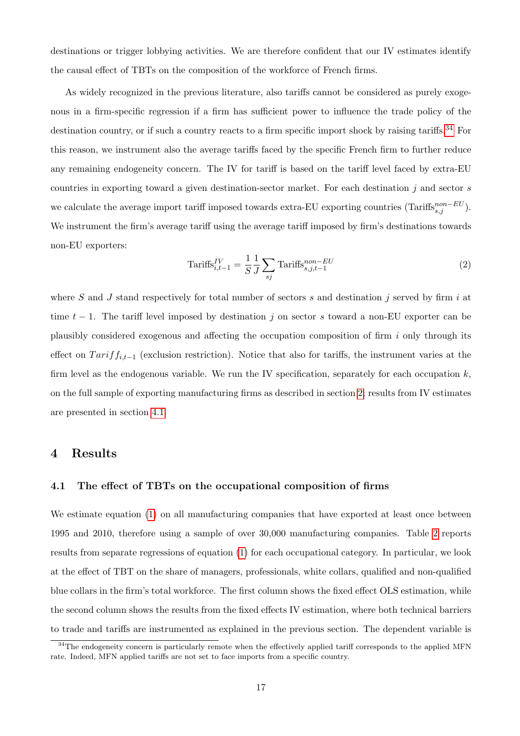<span id="page-17-0"></span>destinations or trigger lobbying activities. We are therefore confident that our IV estimates identify the causal effect of TBTs on the composition of the workforce of French firms.

As widely recognized in the previous literature, also tariffs cannot be considered as purely exogenous in a firm-specific regression if a firm has sufficient power to influence the trade policy of the destination country, or if such a country reacts to a firm specific import shock by raising tariffs.<sup>34</sup> For this reason, we instrument also the average tariffs faced by the specific French firm to further reduce any remaining endogeneity concern. The IV for tariff is based on the tariff level faced by extra-EU countries in exporting toward a given destination-sector market. For each destination  $j$  and sector  $s$ we calculate the average import tariff imposed towards extra-EU exporting countries (Tariffs<sup>non–EU</sup>). We instrument the firm's average tariff using the average tariff imposed by firm's destinations towards non-EU exporters:

$$
\text{Tariffs}_{i,t-1}^{IV} = \frac{1}{S} \frac{1}{J} \sum_{sj} \text{Tariffs}_{s,j,t-1}^{non-EU} \tag{2}
$$

where S and J stand respectively for total number of sectors  $s$  and destination  $j$  served by firm  $i$  at time  $t - 1$ . The tariff level imposed by destination j on sector s toward a non-EU exporter can be plausibly considered exogenous and affecting the occupation composition of firm i only through its effect on  $Tariff_{i,t-1}$  (exclusion restriction). Notice that also for tariffs, the instrument varies at the firm level as the endogenous variable. We run the IV specification, separately for each occupation  $k$ , on the full sample of exporting manufacturing firms as described in section [2;](#page-7-0) results from IV estimates are presented in section 4.1.

## 4 Results

#### 4.1 The effect of TBTs on the occupational composition of firms

We estimate equation [\(1\)](#page-14-0) on all manufacturing companies that have exported at least once between 1995 and 2010, therefore using a sample of over 30,000 manufacturing companies. Table [2](#page-19-0) reports results from separate regressions of equation [\(1\)](#page-14-0) for each occupational category. In particular, we look at the effect of TBT on the share of managers, professionals, white collars, qualified and non-qualified blue collars in the firm's total workforce. The first column shows the fixed effect OLS estimation, while the second column shows the results from the fixed effects IV estimation, where both technical barriers to trade and tariffs are instrumented as explained in the previous section. The dependent variable is

<sup>&</sup>lt;sup>34</sup>The endogeneity concern is particularly remote when the effectively applied tariff corresponds to the applied MFN rate. Indeed, MFN applied tariffs are not set to face imports from a specific country.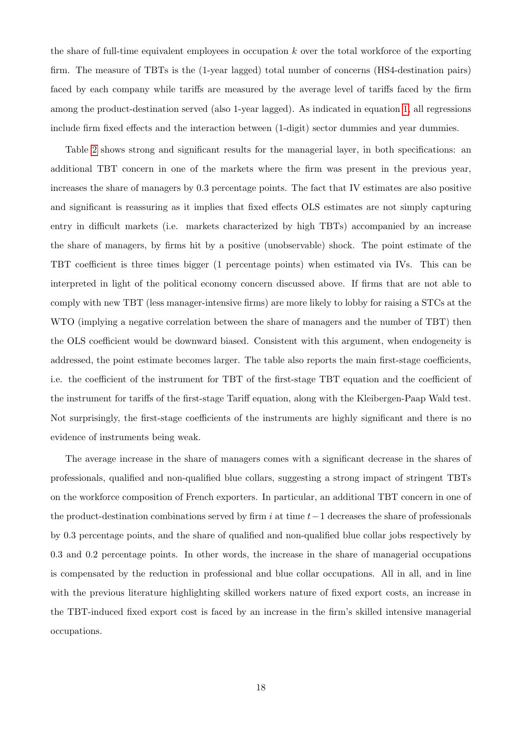the share of full-time equivalent employees in occupation  $k$  over the total workforce of the exporting firm. The measure of TBTs is the (1-year lagged) total number of concerns (HS4-destination pairs) faced by each company while tariffs are measured by the average level of tariffs faced by the firm among the product-destination served (also 1-year lagged). As indicated in equation [1,](#page-14-0) all regressions include firm fixed effects and the interaction between (1-digit) sector dummies and year dummies.

Table [2](#page-19-0) shows strong and significant results for the managerial layer, in both specifications: an additional TBT concern in one of the markets where the firm was present in the previous year, increases the share of managers by 0.3 percentage points. The fact that IV estimates are also positive and significant is reassuring as it implies that fixed effects OLS estimates are not simply capturing entry in difficult markets (i.e. markets characterized by high TBTs) accompanied by an increase the share of managers, by firms hit by a positive (unobservable) shock. The point estimate of the TBT coefficient is three times bigger (1 percentage points) when estimated via IVs. This can be interpreted in light of the political economy concern discussed above. If firms that are not able to comply with new TBT (less manager-intensive firms) are more likely to lobby for raising a STCs at the WTO (implying a negative correlation between the share of managers and the number of TBT) then the OLS coefficient would be downward biased. Consistent with this argument, when endogeneity is addressed, the point estimate becomes larger. The table also reports the main first-stage coefficients, i.e. the coefficient of the instrument for TBT of the first-stage TBT equation and the coefficient of the instrument for tariffs of the first-stage Tariff equation, along with the Kleibergen-Paap Wald test. Not surprisingly, the first-stage coefficients of the instruments are highly significant and there is no evidence of instruments being weak.

The average increase in the share of managers comes with a significant decrease in the shares of professionals, qualified and non-qualified blue collars, suggesting a strong impact of stringent TBTs on the workforce composition of French exporters. In particular, an additional TBT concern in one of the product-destination combinations served by firm i at time  $t-1$  decreases the share of professionals by 0.3 percentage points, and the share of qualified and non-qualified blue collar jobs respectively by 0.3 and 0.2 percentage points. In other words, the increase in the share of managerial occupations is compensated by the reduction in professional and blue collar occupations. All in all, and in line with the previous literature highlighting skilled workers nature of fixed export costs, an increase in the TBT-induced fixed export cost is faced by an increase in the firm's skilled intensive managerial occupations.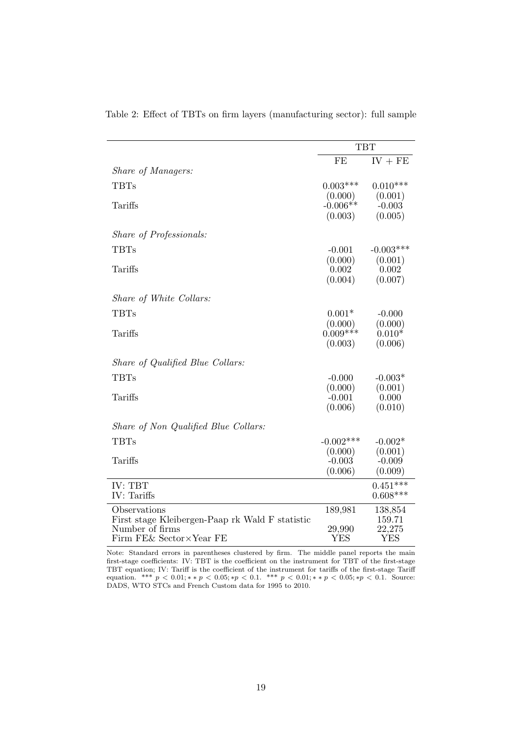| $IV + FE$<br>FE<br>Share of Managers:<br>$0.003***$<br><b>TBTs</b><br>$0.010***$<br>(0.000)<br>(0.001)<br>$-0.006**$<br>Tariffs<br>$-0.003$<br>(0.003)<br>(0.005) |
|-------------------------------------------------------------------------------------------------------------------------------------------------------------------|
|                                                                                                                                                                   |
|                                                                                                                                                                   |
|                                                                                                                                                                   |
|                                                                                                                                                                   |
|                                                                                                                                                                   |
|                                                                                                                                                                   |
| Share of Professionals:                                                                                                                                           |
| <b>TBTs</b><br>$-0.003***$<br>$-0.001$                                                                                                                            |
| (0.000)<br>(0.001)                                                                                                                                                |
| Tariffs<br>0.002<br>0.002                                                                                                                                         |
| (0.004)<br>(0.007)                                                                                                                                                |
| Share of White Collars:                                                                                                                                           |
| <b>TBTs</b><br>$0.001*$<br>$-0.000$                                                                                                                               |
| (0.000)<br>(0.000)                                                                                                                                                |
| $0.009***$<br>$0.010*$<br>Tariffs                                                                                                                                 |
| (0.003)<br>(0.006)                                                                                                                                                |
| Share of Qualified Blue Collars:                                                                                                                                  |
| <b>TBTs</b><br>$-0.000$<br>$-0.003*$                                                                                                                              |
| (0.000)<br>(0.001)                                                                                                                                                |
| Tariffs<br>$-0.001$<br>0.000                                                                                                                                      |
| (0.006)<br>(0.010)                                                                                                                                                |
| Share of Non Qualified Blue Collars:                                                                                                                              |
| <b>TBTs</b><br>$-0.002***$<br>$-0.002*$                                                                                                                           |
| (0.000)<br>(0.001)                                                                                                                                                |
| Tariffs<br>$-0.003$<br>$-0.009$                                                                                                                                   |
| (0.006)<br>(0.009)                                                                                                                                                |
| $0.451***$<br>IV: TBT                                                                                                                                             |
| IV: Tariffs<br>$0.608***$                                                                                                                                         |
| Observations<br>189,981<br>138,854                                                                                                                                |
| First stage Kleibergen-Paap rk Wald F statistic<br>159.71<br>Number of firms<br>22,275<br>29,990                                                                  |
| Firm FE& Sector×Year FE<br><b>YES</b><br><b>YES</b>                                                                                                               |

<span id="page-19-0"></span>Table 2: Effect of TBTs on firm layers (manufacturing sector): full sample

Note: Standard errors in parentheses clustered by firm. The middle panel reports the main first-stage coefficients: IV: TBT is the coefficient on the instrument for TBT of the first-stage TBT equation; IV: Tariff is the coefficient of the instrument for tariffs of the first-stage Tariff equation. \*\*\*  $p < 0.01; ** p < 0.05; *p < 0.1.$  \*\*\*  $p < 0.01; ** p < 0.05; *p < 0.1.$  Source: DADS, WTO STCs and French Custom data for 1995 to 2010.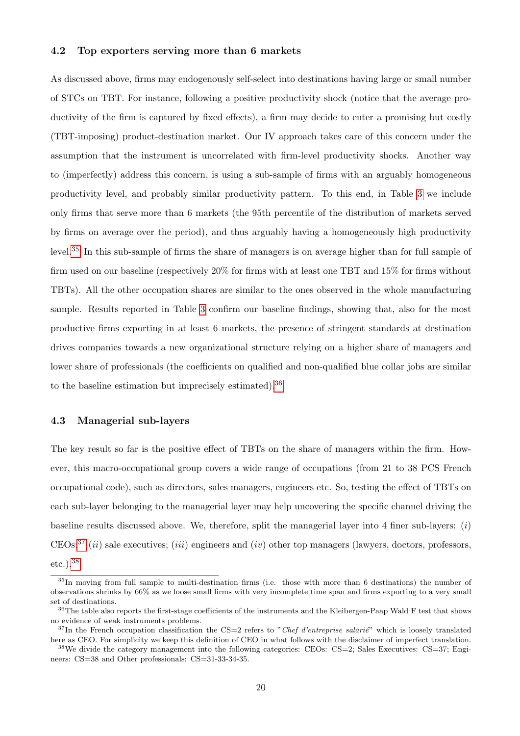#### 4.2 Top exporters serving more than 6 markets

As discussed above, firms may endogenously self-select into destinations having large or small number of STCs on TBT. For instance, following a positive productivity shock (notice that the average productivity of the firm is captured by fixed effects), a firm may decide to enter a promising but costly (TBT-imposing) product-destination market. Our IV approach takes care of this concern under the assumption that the instrument is uncorrelated with firm-level productivity shocks. Another way to (imperfectly) address this concern, is using a sub-sample of firms with an arguably homogeneous productivity level, and probably similar productivity pattern. To this end, in Table [3](#page-21-0) we include only firms that serve more than 6 markets (the 95th percentile of the distribution of markets served by firms on average over the period), and thus arguably having a homogeneously high productivity level.<sup>35</sup> In this sub-sample of firms the share of managers is on average higher than for full sample of firm used on our baseline (respectively 20% for firms with at least one TBT and 15% for firms without TBTs). All the other occupation shares are similar to the ones observed in the whole manufacturing sample. Results reported in Table [3](#page-21-0) confirm our baseline findings, showing that, also for the most productive firms exporting in at least 6 markets, the presence of stringent standards at destination drives companies towards a new organizational structure relying on a higher share of managers and lower share of professionals (the coefficients on qualified and non-qualified blue collar jobs are similar to the baseline estimation but imprecisely estimated).<sup>36</sup>

#### 4.3 Managerial sub-layers

The key result so far is the positive effect of TBTs on the share of managers within the firm. However, this macro-occupational group covers a wide range of occupations (from 21 to 38 PCS French occupational code), such as directors, sales managers, engineers etc. So, testing the effect of TBTs on each sub-layer belonging to the managerial layer may help uncovering the specific channel driving the baseline results discussed above. We, therefore, split the managerial layer into 4 finer sub-layers:  $(i)$ CEOs;<sup>37</sup> (ii) sale executives; (iii) engineers and (iv) other top managers (lawyers, doctors, professors, etc.).<sup>38</sup>

<sup>35</sup>In moving from full sample to multi-destination firms (i.e. those with more than 6 destinations) the number of observations shrinks by 66% as we loose small firms with very incomplete time span and firms exporting to a very small set of destinations.

<sup>&</sup>lt;sup>36</sup>The table also reports the first-stage coefficients of the instruments and the Kleibergen-Paap Wald F test that shows no evidence of weak instruments problems.

 $37$ In the French occupation classification the CS=2 refers to "Chef d'entreprise salarie" which is loosely translated here as CEO. For simplicity we keep this definition of CEO in what follows with the disclaimer of imperfect translation.

 $38\text{We divide the category management into the following categories: CEOs: CS=2; Sales Executives: CS=37; English18, and the following categories are used to determine the same method.$ neers: CS=38 and Other professionals: CS=31-33-34-35.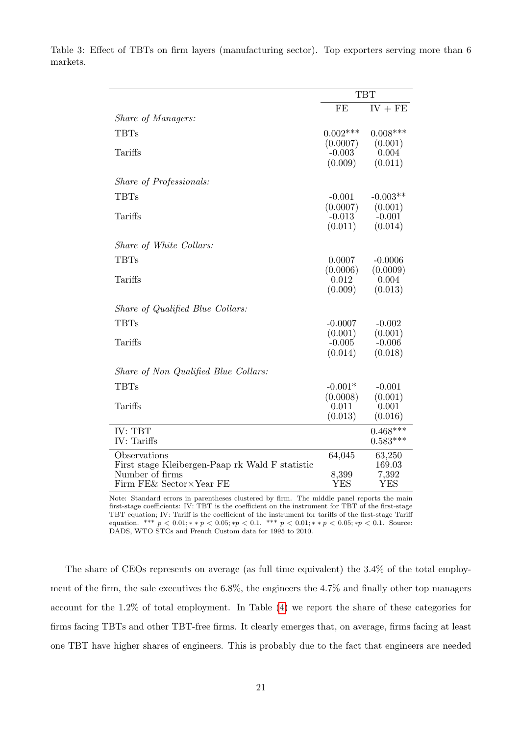|                                                 |                     | <b>TBT</b>          |
|-------------------------------------------------|---------------------|---------------------|
|                                                 | FE                  | $IV + FE$           |
| <i>Share of Managers:</i>                       |                     |                     |
| <b>TBTs</b>                                     | $0.002***$          | $0.008***$          |
|                                                 | (0.0007)            | (0.001)             |
| Tariffs                                         | $-0.003$<br>(0.009) | 0.004<br>(0.011)    |
|                                                 |                     |                     |
| <i>Share of Professionals:</i>                  |                     |                     |
| <b>TBTs</b>                                     | $-0.001$            | $-0.003**$          |
|                                                 | (0.0007)            | (0.001)             |
| Tariffs                                         | $-0.013$            | $-0.001$            |
|                                                 | (0.011)             | (0.014)             |
| Share of White Collars:                         |                     |                     |
| <b>TBTs</b>                                     | 0.0007              | $-0.0006$           |
|                                                 | (0.0006)            | (0.0009)            |
| Tariffs                                         | 0.012               | 0.004               |
|                                                 | (0.009)             | (0.013)             |
| Share of Qualified Blue Collars:                |                     |                     |
| <b>TBTs</b>                                     | $-0.0007$           | $-0.002$            |
|                                                 | (0.001)             | (0.001)             |
| Tariffs                                         | $-0.005$            | $-0.006$            |
|                                                 | (0.014)             | (0.018)             |
| Share of Non Qualified Blue Collars:            |                     |                     |
| <b>TBTs</b>                                     | $-0.001*$           | $-0.001$            |
|                                                 | (0.0008)            | (0.001)             |
| Tariffs                                         | 0.011               | 0.001               |
|                                                 | (0.013)             | (0.016)             |
| IV: TBT                                         |                     | $0.468***$          |
| IV: Tariffs                                     |                     | $0.583***$          |
| Observations                                    | 64,045              | 63,250              |
| First stage Kleibergen-Paap rk Wald F statistic |                     | 169.03              |
| Number of firms<br>Firm FE& Sector×Year FE      | 8,399<br><b>YES</b> | 7,392<br><b>YES</b> |
|                                                 |                     |                     |

<span id="page-21-0"></span>Table 3: Effect of TBTs on firm layers (manufacturing sector). Top exporters serving more than 6 markets.

 $\overline{a}$ 

Note: Standard errors in parentheses clustered by firm. The middle panel reports the main first-stage coefficients: IV: TBT is the coefficient on the instrument for TBT of the first-stage TBT equation; IV: Tariff is the coefficient of the instrument for tariffs of the first-stage Tariff equation. \*\*\*  $p < 0.01; * p < 0.05; *p < 0.1$ . \*\*\*  $p < 0.01; * p < 0.05; *p < 0.1$ . Source: DADS, WTO STCs and French Custom data for 1995 to 2010.

The share of CEOs represents on average (as full time equivalent) the 3.4% of the total employment of the firm, the sale executives the 6.8%, the engineers the 4.7% and finally other top managers account for the 1.2% of total employment. In Table [\(4\)](#page-22-0) we report the share of these categories for firms facing TBTs and other TBT-free firms. It clearly emerges that, on average, firms facing at least one TBT have higher shares of engineers. This is probably due to the fact that engineers are needed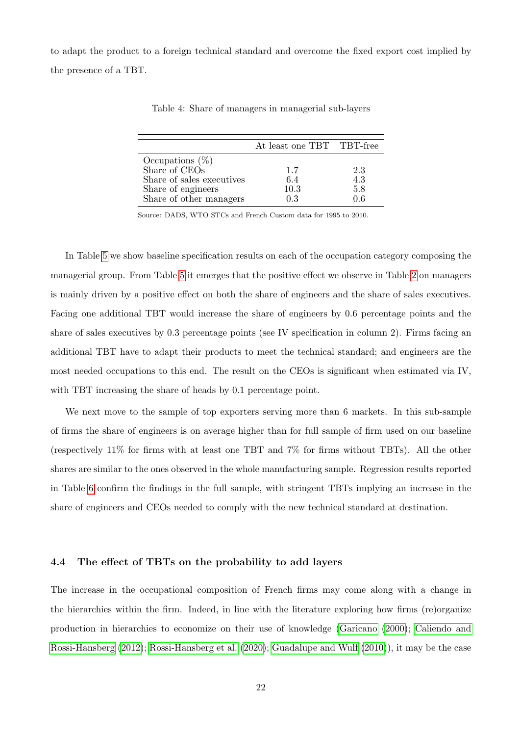<span id="page-22-0"></span>to adapt the product to a foreign technical standard and overcome the fixed export cost implied by the presence of a TBT.

|                           | At least one TBT TBT-free |     |
|---------------------------|---------------------------|-----|
| Occupations $(\%)$        |                           |     |
| Share of CEOs             | 1.7                       | 2.3 |
| Share of sales executives | 6.4                       | 4.3 |
| Share of engineers        | 10.3                      | 5.8 |
| Share of other managers   | 0.3                       | በ 6 |

Table 4: Share of managers in managerial sub-layers

Source: DADS, WTO STCs and French Custom data for 1995 to 2010.

In Table [5](#page-23-0) we show baseline specification results on each of the occupation category composing the managerial group. From Table [5](#page-23-0) it emerges that the positive effect we observe in Table [2](#page-19-0) on managers is mainly driven by a positive effect on both the share of engineers and the share of sales executives. Facing one additional TBT would increase the share of engineers by 0.6 percentage points and the share of sales executives by 0.3 percentage points (see IV specification in column 2). Firms facing an additional TBT have to adapt their products to meet the technical standard; and engineers are the most needed occupations to this end. The result on the CEOs is significant when estimated via IV, with TBT increasing the share of heads by 0.1 percentage point.

We next move to the sample of top exporters serving more than 6 markets. In this sub-sample of firms the share of engineers is on average higher than for full sample of firm used on our baseline (respectively 11% for firms with at least one TBT and 7% for firms without TBTs). All the other shares are similar to the ones observed in the whole manufacturing sample. Regression results reported in Table [6](#page-24-0) confirm the findings in the full sample, with stringent TBTs implying an increase in the share of engineers and CEOs needed to comply with the new technical standard at destination.

#### 4.4 The effect of TBTs on the probability to add layers

The increase in the occupational composition of French firms may come along with a change in the hierarchies within the firm. Indeed, in line with the literature exploring how firms (re)organize production in hierarchies to economize on their use of knowledge [\(Garicano](#page-28-0) [\(2000\)](#page-28-0); [Caliendo and](#page-27-0) [Rossi-Hansberg](#page-27-0) [\(2012\)](#page-27-0); [Rossi-Hansberg et al.](#page-28-0) [\(2020\)](#page-28-0); [Guadalupe and Wulf](#page-28-0) [\(2010\)](#page-28-0)), it may be the case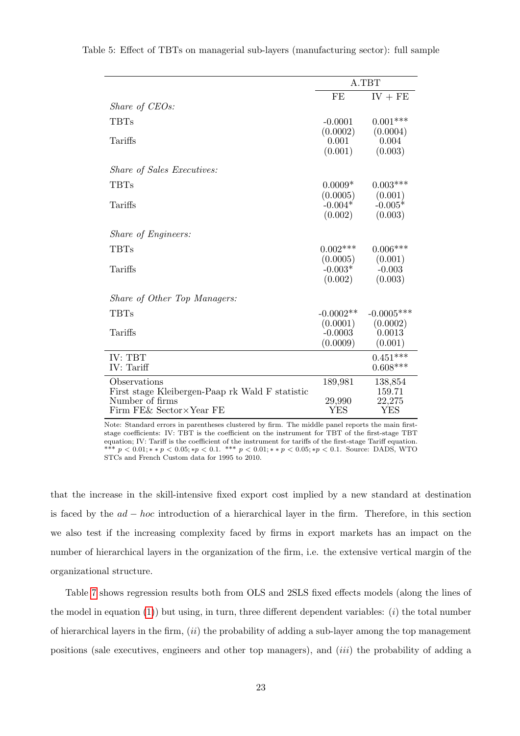|                                                 |             | A.TBT        |
|-------------------------------------------------|-------------|--------------|
|                                                 | FE          | $IV + FE$    |
| Share of CEOs:                                  |             |              |
| TBTs                                            | $-0.0001$   | $0.001***$   |
|                                                 | (0.0002)    | (0.0004)     |
| Tariffs                                         | 0.001       | 0.004        |
|                                                 | (0.001)     | (0.003)      |
| <i>Share of Sales Executives:</i>               |             |              |
| TBTs                                            | $0.0009*$   | $0.003***$   |
|                                                 | (0.0005)    | (0.001)      |
| Tariffs                                         | $-0.004*$   | $-0.005*$    |
|                                                 | (0.002)     | (0.003)      |
| <i>Share of Engineers:</i>                      |             |              |
| TBTs                                            | $0.002***$  | $0.006***$   |
|                                                 | (0.0005)    | (0.001)      |
| Tariffs                                         | $-0.003*$   | $-0.003$     |
|                                                 | (0.002)     | (0.003)      |
| Share of Other Top Managers:                    |             |              |
| <b>TBTs</b>                                     | $-0.0002**$ | $-0.0005***$ |
|                                                 | (0.0001)    | (0.0002)     |
| Tariffs                                         | $-0.0003$   | 0.0013       |
|                                                 | (0.0009)    | (0.001)      |
| IV: TBT                                         |             | $0.451***$   |
| IV: Tariff                                      |             | $0.608***$   |
| Observations                                    | 189,981     | 138,854      |
| First stage Kleibergen-Paap rk Wald F statistic |             | 159.71       |
| Number of firms                                 | 29,990      | 22,275       |
| Firm FE& Sector×Year FE                         | <b>YES</b>  | <b>YES</b>   |

<span id="page-23-0"></span>Table 5: Effect of TBTs on managerial sub-layers (manufacturing sector): full sample

Note: Standard errors in parentheses clustered by firm. The middle panel reports the main firststage coefficients: IV: TBT is the coefficient on the instrument for TBT of the first-stage TBT equation; IV: Tariff is the coefficient of the instrument for tariffs of the first-stage Tariff equation. \*\*\*  $p < 0.01; * p < 0.05; *p < 0.1.$  \*\*\*  $p < 0.01; * p < 0.05; *p < 0.1.$  Source: DADS, WTO STCs and French Custom data for 1995 to 2010.

that the increase in the skill-intensive fixed export cost implied by a new standard at destination is faced by the  $ad - hoc$  introduction of a hierarchical layer in the firm. Therefore, in this section we also test if the increasing complexity faced by firms in export markets has an impact on the number of hierarchical layers in the organization of the firm, i.e. the extensive vertical margin of the organizational structure.

Table [7](#page-25-0) shows regression results both from OLS and 2SLS fixed effects models (along the lines of the model in equation  $(1)$ ) but using, in turn, three different dependent variables:  $(i)$  the total number of hierarchical layers in the firm,  $(ii)$  the probability of adding a sub-layer among the top management positions (sale executives, engineers and other top managers), and (iii) the probability of adding a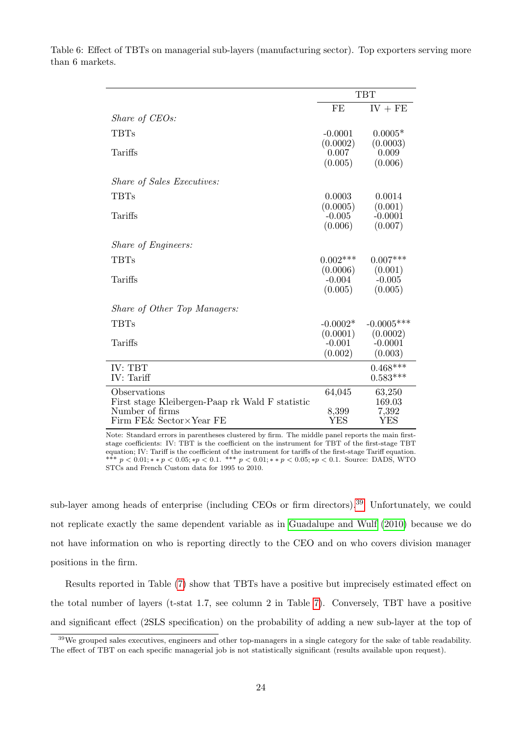|                                                 |                  | <b>TBT</b>       |
|-------------------------------------------------|------------------|------------------|
|                                                 | FE               | $IV + FE$        |
| Share of CEOs:                                  |                  |                  |
| <b>TBTs</b>                                     | $-0.0001$        | $0.0005*$        |
|                                                 | (0.0002)         | (0.0003)         |
| Tariffs                                         | 0.007<br>(0.005) | 0.009<br>(0.006) |
|                                                 |                  |                  |
| <i>Share of Sales Executives:</i>               |                  |                  |
| <b>TBTs</b>                                     | 0.0003           | 0.0014           |
|                                                 | (0.0005)         | (0.001)          |
| Tariffs                                         | $-0.005$         | $-0.0001$        |
|                                                 | (0.006)          | (0.007)          |
| <i>Share of Engineers:</i>                      |                  |                  |
| <b>TBTs</b>                                     | $0.002***$       | $0.007***$       |
|                                                 | (0.0006)         | (0.001)          |
| Tariffs                                         | $-0.004$         | $-0.005$         |
|                                                 | (0.005)          | (0.005)          |
| Share of Other Top Managers:                    |                  |                  |
| <b>TBTs</b>                                     | $-0.0002*$       | $-0.0005***$     |
|                                                 | (0.0001)         | (0.0002)         |
| Tariffs                                         | $-0.001$         | $-0.0001$        |
|                                                 | (0.002)          | (0.003)          |
| IV: TBT                                         |                  | $0.468***$       |
| IV: Tariff                                      |                  | $0.583***$       |
| Observations                                    | 64,045           | 63,250           |
| First stage Kleibergen-Paap rk Wald F statistic |                  | 169.03           |
| Number of firms<br>Firm FE& Sector×Year FE      | 8,399<br>YES     | 7,392<br>YES     |
|                                                 |                  |                  |

<span id="page-24-0"></span>Table 6: Effect of TBTs on managerial sub-layers (manufacturing sector). Top exporters serving more than 6 markets.

> Note: Standard errors in parentheses clustered by firm. The middle panel reports the main firststage coefficients: IV: TBT is the coefficient on the instrument for TBT of the first-stage TBT equation; IV: Tariff is the coefficient of the instrument for tariffs of the first-stage Tariff equation. \*\*\*  $p < 0.01$ ; \*\* $p < 0.05$ ; \* $p < 0.1$ . \*\*\*  $p < 0.01$ ; \*\* $p < 0.05$ ; \* $p < 0.1$ . Source: DADS, WTO STCs and French Custom data for 1995 to 2010.

sub-layer among heads of enterprise (including CEOs or firm directors).<sup>39</sup> Unfortunately, we could not replicate exactly the same dependent variable as in [Guadalupe and Wulf](#page-28-0) [\(2010\)](#page-28-0) because we do not have information on who is reporting directly to the CEO and on who covers division manager positions in the firm.

Results reported in Table [\(7\)](#page-25-0) show that TBTs have a positive but imprecisely estimated effect on the total number of layers (t-stat 1.7, see column 2 in Table [7\)](#page-25-0). Conversely, TBT have a positive and significant effect (2SLS specification) on the probability of adding a new sub-layer at the top of

<sup>&</sup>lt;sup>39</sup>We grouped sales executives, engineers and other top-managers in a single category for the sake of table readability. The effect of TBT on each specific managerial job is not statistically significant (results available upon request).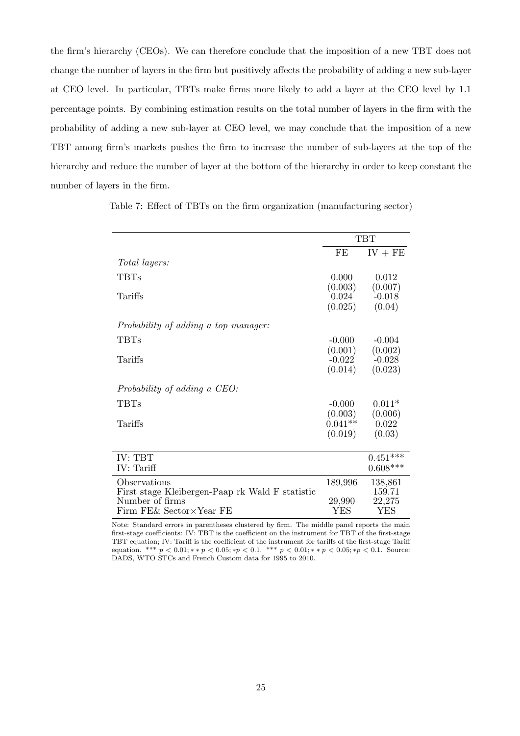<span id="page-25-0"></span>the firm's hierarchy (CEOs). We can therefore conclude that the imposition of a new TBT does not change the number of layers in the firm but positively affects the probability of adding a new sub-layer at CEO level. In particular, TBTs make firms more likely to add a layer at the CEO level by 1.1 percentage points. By combining estimation results on the total number of layers in the firm with the probability of adding a new sub-layer at CEO level, we may conclude that the imposition of a new TBT among firm's markets pushes the firm to increase the number of sub-layers at the top of the hierarchy and reduce the number of layer at the bottom of the hierarchy in order to keep constant the number of layers in the firm.

Table 7: Effect of TBTs on the firm organization (manufacturing sector)

|                                                 |           | <b>TBT</b> |
|-------------------------------------------------|-----------|------------|
|                                                 | FE        | $IV + FE$  |
| <i>Total layers:</i>                            |           |            |
| <b>TBTs</b>                                     | 0.000     | 0.012      |
|                                                 | (0.003)   | (0.007)    |
| Tariffs                                         | 0.024     | $-0.018$   |
|                                                 | (0.025)   | (0.04)     |
| Probability of adding a top manager:            |           |            |
| <b>TBTs</b>                                     | $-0.000$  | $-0.004$   |
|                                                 | (0.001)   | (0.002)    |
| Tariffs                                         | $-0.022$  | $-0.028$   |
|                                                 | (0.014)   | (0.023)    |
| Probability of adding a CEO:                    |           |            |
| <b>TBTs</b>                                     | $-0.000$  | $0.011*$   |
|                                                 | (0.003)   | (0.006)    |
| Tariffs                                         | $0.041**$ | 0.022      |
|                                                 | (0.019)   | (0.03)     |
| IV: TBT                                         |           | $0.451***$ |
| IV: Tariff                                      |           | $0.608***$ |
| Observations                                    | 189,996   | 138,861    |
| First stage Kleibergen-Paap rk Wald F statistic |           | 159.71     |
| Number of firms                                 | 29,990    | 22,275     |
| Firm FE& Sector×Year FE                         | YES       | YES        |

Note: Standard errors in parentheses clustered by firm. The middle panel reports the main first-stage coefficients: IV: TBT is the coefficient on the instrument for TBT of the first-stage TBT equation; IV: Tariff is the coefficient of the instrument for tariffs of the first-stage Tariff equation. \*\*\*  $p < 0.01; * p < 0.05; *p < 0.1.$  \*\*\*  $p < 0.01; * p < 0.05; *p < 0.1.$  Source: DADS, WTO STCs and French Custom data for 1995 to 2010.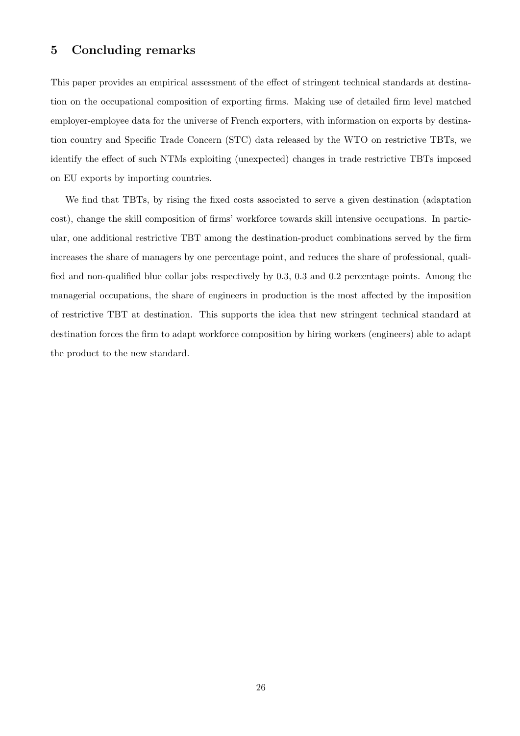## <span id="page-26-0"></span>5 Concluding remarks

This paper provides an empirical assessment of the effect of stringent technical standards at destination on the occupational composition of exporting firms. Making use of detailed firm level matched employer-employee data for the universe of French exporters, with information on exports by destination country and Specific Trade Concern (STC) data released by the WTO on restrictive TBTs, we identify the effect of such NTMs exploiting (unexpected) changes in trade restrictive TBTs imposed on EU exports by importing countries.

We find that TBTs, by rising the fixed costs associated to serve a given destination (adaptation cost), change the skill composition of firms' workforce towards skill intensive occupations. In particular, one additional restrictive TBT among the destination-product combinations served by the firm increases the share of managers by one percentage point, and reduces the share of professional, qualified and non-qualified blue collar jobs respectively by 0.3, 0.3 and 0.2 percentage points. Among the managerial occupations, the share of engineers in production is the most affected by the imposition of restrictive TBT at destination. This supports the idea that new stringent technical standard at destination forces the firm to adapt workforce composition by hiring workers (engineers) able to adapt the product to the new standard.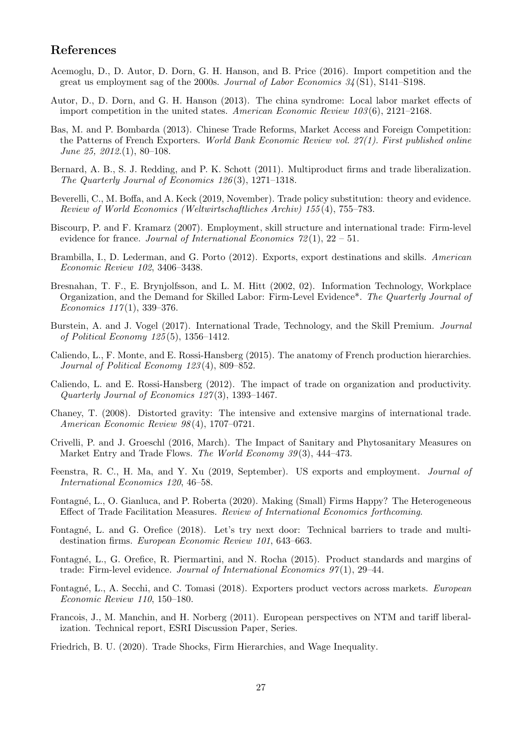## <span id="page-27-0"></span>References

- Acemoglu, D., D. Autor, D. Dorn, G. H. Hanson, and B. Price (2016). Import competition and the great us employment sag of the 2000s. Journal of Labor Economics 34 (S1), S141–S198.
- Autor, D., D. Dorn, and G. H. Hanson (2013). The china syndrome: Local labor market effects of import competition in the united states. American Economic Review 103 (6), 2121–2168.
- Bas, M. and P. Bombarda (2013). Chinese Trade Reforms, Market Access and Foreign Competition: the Patterns of French Exporters. World Bank Economic Review vol. 27(1). First published online June 25, 2012. $(1), 80-108$ .
- Bernard, A. B., S. J. Redding, and P. K. Schott (2011). Multiproduct firms and trade liberalization. The Quarterly Journal of Economics 126 (3), 1271–1318.
- Beverelli, C., M. Boffa, and A. Keck (2019, November). Trade policy substitution: theory and evidence. Review of World Economics (Weltwirtschaftliches Archiv) 155 (4), 755–783.
- Biscourp, P. and F. Kramarz (2007). Employment, skill structure and international trade: Firm-level evidence for france. Journal of International Economics  $72(1)$ ,  $22 - 51$ .
- Brambilla, I., D. Lederman, and G. Porto (2012). Exports, export destinations and skills. American Economic Review 102, 3406–3438.
- Bresnahan, T. F., E. Brynjolfsson, and L. M. Hitt (2002, 02). Information Technology, Workplace Organization, and the Demand for Skilled Labor: Firm-Level Evidence\*. The Quarterly Journal of Economics  $117(1)$ , 339-376.
- Burstein, A. and J. Vogel (2017). International Trade, Technology, and the Skill Premium. Journal of Political Economy 125 (5), 1356–1412.
- Caliendo, L., F. Monte, and E. Rossi-Hansberg (2015). The anatomy of French production hierarchies. Journal of Political Economy 123 (4), 809–852.
- Caliendo, L. and E. Rossi-Hansberg (2012). The impact of trade on organization and productivity. Quarterly Journal of Economics 127 (3), 1393–1467.
- Chaney, T. (2008). Distorted gravity: The intensive and extensive margins of international trade. American Economic Review 98 (4), 1707–0721.
- Crivelli, P. and J. Groeschl (2016, March). The Impact of Sanitary and Phytosanitary Measures on Market Entry and Trade Flows. The World Economy 39(3), 444–473.
- Feenstra, R. C., H. Ma, and Y. Xu (2019, September). US exports and employment. Journal of International Economics 120, 46–58.
- Fontagn´e, L., O. Gianluca, and P. Roberta (2020). Making (Small) Firms Happy? The Heterogeneous Effect of Trade Facilitation Measures. Review of International Economics forthcoming.
- Fontagné, L. and G. Orefice (2018). Let's try next door: Technical barriers to trade and multidestination firms. European Economic Review 101, 643–663.
- Fontagn´e, L., G. Orefice, R. Piermartini, and N. Rocha (2015). Product standards and margins of trade: Firm-level evidence. Journal of International Economics  $97(1)$ , 29-44.
- Fontagné, L., A. Secchi, and C. Tomasi (2018). Exporters product vectors across markets. *European* Economic Review 110, 150–180.
- Francois, J., M. Manchin, and H. Norberg (2011). European perspectives on NTM and tariff liberalization. Technical report, ESRI Discussion Paper, Series.
- Friedrich, B. U. (2020). Trade Shocks, Firm Hierarchies, and Wage Inequality.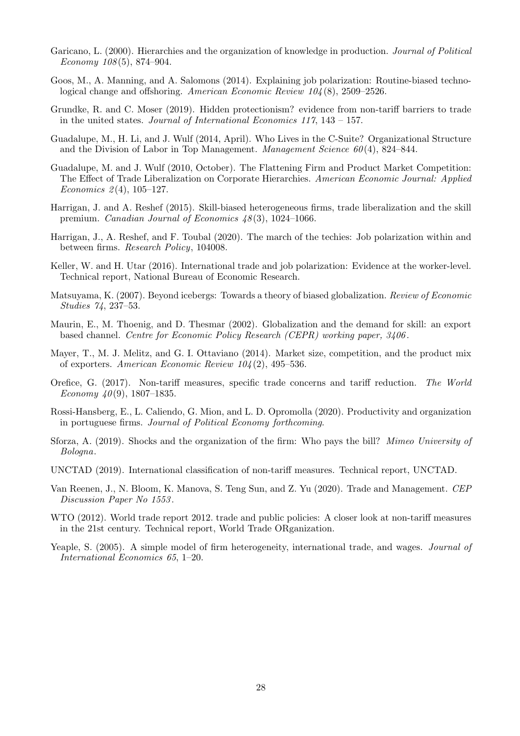- <span id="page-28-0"></span>Garicano, L. (2000). Hierarchies and the organization of knowledge in production. Journal of Political Economy 108 (5), 874–904.
- Goos, M., A. Manning, and A. Salomons (2014). Explaining job polarization: Routine-biased technological change and offshoring. American Economic Review 104 (8), 2509–2526.
- Grundke, R. and C. Moser (2019). Hidden protectionism? evidence from non-tariff barriers to trade in the united states. Journal of International Economics 117, 143 – 157.
- Guadalupe, M., H. Li, and J. Wulf (2014, April). Who Lives in the C-Suite? Organizational Structure and the Division of Labor in Top Management. Management Science  $60(4)$ , 824–844.
- Guadalupe, M. and J. Wulf (2010, October). The Flattening Firm and Product Market Competition: The Effect of Trade Liberalization on Corporate Hierarchies. American Economic Journal: Applied Economics 2(4),  $105-127$ .
- Harrigan, J. and A. Reshef (2015). Skill-biased heterogeneous firms, trade liberalization and the skill premium. *Canadian Journal of Economics 48*(3), 1024–1066.
- Harrigan, J., A. Reshef, and F. Toubal (2020). The march of the techies: Job polarization within and between firms. Research Policy, 104008.
- Keller, W. and H. Utar (2016). International trade and job polarization: Evidence at the worker-level. Technical report, National Bureau of Economic Research.
- Matsuyama, K. (2007). Beyond icebergs: Towards a theory of biased globalization. Review of Economic Studies 74, 237–53.
- Maurin, E., M. Thoenig, and D. Thesmar (2002). Globalization and the demand for skill: an export based channel. Centre for Economic Policy Research (CEPR) working paper, 3406 .
- Mayer, T., M. J. Melitz, and G. I. Ottaviano (2014). Market size, competition, and the product mix of exporters. American Economic Review 104 (2), 495–536.
- Orefice, G. (2017). Non-tariff measures, specific trade concerns and tariff reduction. The World Economy  $40(9)$ , 1807–1835.
- Rossi-Hansberg, E., L. Caliendo, G. Mion, and L. D. Opromolla (2020). Productivity and organization in portuguese firms. Journal of Political Economy forthcoming.
- Sforza, A. (2019). Shocks and the organization of the firm: Who pays the bill? Mimeo University of Bologna.
- UNCTAD (2019). International classification of non-tariff measures. Technical report, UNCTAD.
- Van Reenen, J., N. Bloom, K. Manova, S. Teng Sun, and Z. Yu (2020). Trade and Management. CEP Discussion Paper No 1553 .
- WTO (2012). World trade report 2012. trade and public policies: A closer look at non-tariff measures in the 21st century. Technical report, World Trade ORganization.
- Yeaple, S. (2005). A simple model of firm heterogeneity, international trade, and wages. *Journal of* International Economics 65, 1–20.